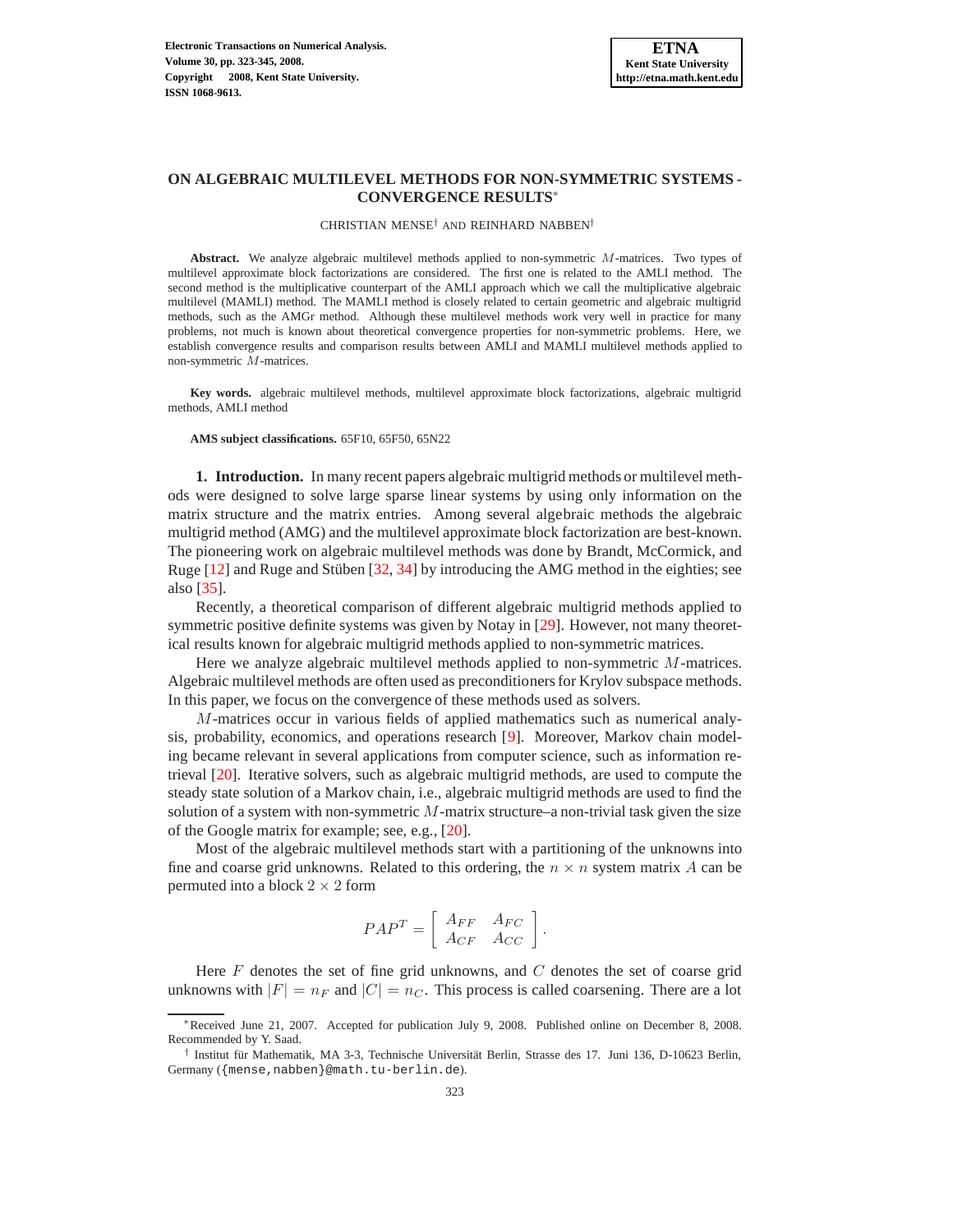# **ON ALGEBRAIC MULTILEVEL METHODS FOR NON-SYMMETRIC SYSTEMS - CONVERGENCE RESULTS**<sup>∗</sup>

#### CHRISTIAN MENSE† AND REINHARD NABBEN†

**Abstract.** We analyze algebraic multilevel methods applied to non-symmetric M-matrices. Two types of multilevel approximate block factorizations are considered. The first one is related to the AMLI method. The second method is the multiplicative counterpart of the AMLI approach which we call the multiplicative algebraic multilevel (MAMLI) method. The MAMLI method is closely related to certain geometric and algebraic multigrid methods, such as the AMGr method. Although these multilevel methods work very well in practice for many problems, not much is known about theoretical convergence properties for non-symmetric problems. Here, we establish convergence results and comparison results between AMLI and MAMLI multilevel methods applied to non-symmetric M-matrices.

**Key words.** algebraic multilevel methods, multilevel approximate block factorizations, algebraic multigrid methods, AMLI method

**AMS subject classifications.** 65F10, 65F50, 65N22

**1. Introduction.** In many recent papers algebraic multigrid methods or multilevel methods were designed to solve large sparse linear systems by using only information on the matrix structure and the matrix entries. Among several algebraic methods the algebraic multigrid method (AMG) and the multilevel approximate block factorization are best-known. The pioneering work on algebraic multilevel methods was done by Brandt, McCormick, and Ruge [\[12\]](#page-21-0) and Ruge and Stüben [\[32,](#page-22-0) [34\]](#page-22-1) by introducing the AMG method in the eighties; see also [\[35\]](#page-22-2).

Recently, a theoretical comparison of different algebraic multigrid methods applied to symmetric positive definite systems was given by Notay in [\[29\]](#page-22-3). However, not many theoretical results known for algebraic multigrid methods applied to non-symmetric matrices.

Here we analyze algebraic multilevel methods applied to non-symmetric M-matrices. Algebraic multilevel methods are often used as preconditioners for Krylov subspace methods. In this paper, we focus on the convergence of these methods used as solvers.

M-matrices occur in various fields of applied mathematics such as numerical analysis, probability, economics, and operations research [\[9\]](#page-21-1). Moreover, Markov chain modeling became relevant in several applications from computer science, such as information retrieval [\[20\]](#page-21-2). Iterative solvers, such as algebraic multigrid methods, are used to compute the steady state solution of a Markov chain, i.e., algebraic multigrid methods are used to find the solution of a system with non-symmetric  $M$ -matrix structure–a non-trivial task given the size of the Google matrix for example; see, e.g., [\[20\]](#page-21-2).

Most of the algebraic multilevel methods start with a partitioning of the unknowns into fine and coarse grid unknowns. Related to this ordering, the  $n \times n$  system matrix A can be permuted into a block  $2 \times 2$  form

$$
PAP^T = \left[ \begin{array}{cc} A_{FF} & A_{FC} \\ A_{CF} & A_{CC} \end{array} \right].
$$

Here  $F$  denotes the set of fine grid unknowns, and  $C$  denotes the set of coarse grid unknowns with  $|F| = n_F$  and  $|C| = n_C$ . This process is called coarsening. There are a lot

<sup>∗</sup>Received June 21, 2007. Accepted for publication July 9, 2008. Published online on December 8, 2008. Recommended by Y. Saad.

<sup>†</sup> Institut für Mathematik, MA 3-3, Technische Universität Berlin, Strasse des 17. Juni 136, D-10623 Berlin, Germany ({mense,nabben}@math.tu-berlin.de).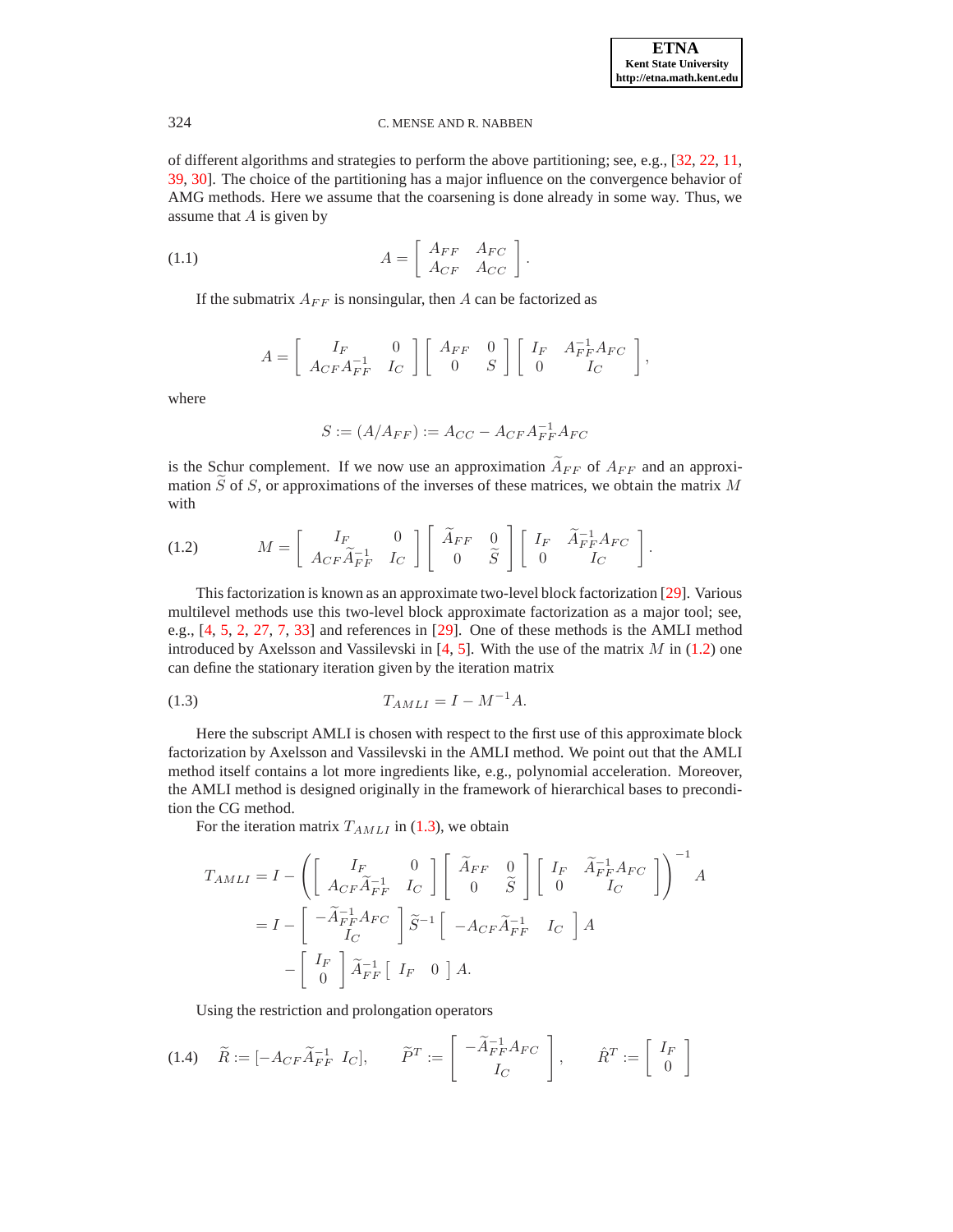of different algorithms and strategies to perform the above partitioning; see, e.g., [\[32,](#page-22-0) [22,](#page-21-3) [11,](#page-21-4) [39,](#page-22-4) [30\]](#page-22-5). The choice of the partitioning has a major influence on the convergence behavior of AMG methods. Here we assume that the coarsening is done already in some way. Thus, we assume that  $A$  is given by

(1.1) 
$$
A = \left[ \begin{array}{cc} A_{FF} & A_{FC} \\ A_{CF} & A_{CC} \end{array} \right].
$$

<span id="page-1-2"></span>If the submatrix  $A_{FF}$  is nonsingular, then A can be factorized as

$$
A = \begin{bmatrix} I_F & 0 \\ A_{CF} A_{FF}^{-1} & I_C \end{bmatrix} \begin{bmatrix} A_{FF} & 0 \\ 0 & S \end{bmatrix} \begin{bmatrix} I_F & A_{FF}^{-1} A_{FC} \\ 0 & I_C \end{bmatrix},
$$

where

$$
S := (A/A_{FF}) := A_{CC} - A_{CF}A_{FF}^{-1}A_{FC}
$$

is the Schur complement. If we now use an approximation  $\widetilde{A}_{FF}$  of  $A_{FF}$  and an approximation  $\widetilde{S}$  of S, or approximations of the inverses of these matrices, we obtain the matrix M with

<span id="page-1-0"></span>(1.2) 
$$
M = \begin{bmatrix} I_F & 0 \\ A_{CF} \widetilde{A}_{FF}^{-1} & I_C \end{bmatrix} \begin{bmatrix} \widetilde{A}_{FF} & 0 \\ 0 & \widetilde{S} \end{bmatrix} \begin{bmatrix} I_F & \widetilde{A}_{FF}^{-1} A_{FC} \\ 0 & I_C \end{bmatrix}.
$$

This factorization is known as an approximate two-level block factorization [\[29\]](#page-22-3). Various multilevel methods use this two-level block approximate factorization as a major tool; see, e.g., [\[4,](#page-21-5) [5,](#page-21-6) [2,](#page-21-7) [27,](#page-22-6) [7,](#page-21-8) [33\]](#page-22-7) and references in [\[29\]](#page-22-3). One of these methods is the AMLI method introduced by Axelsson and Vassilevski in  $[4, 5]$  $[4, 5]$ . With the use of the matrix  $M$  in [\(1.2\)](#page-1-0) one can define the stationary iteration given by the iteration matrix

<span id="page-1-1"></span>(1.3) 
$$
T_{AMLI} = I - M^{-1}A.
$$

Here the subscript AMLI is chosen with respect to the first use of this approximate block factorization by Axelsson and Vassilevski in the AMLI method. We point out that the AMLI method itself contains a lot more ingredients like, e.g., polynomial acceleration. Moreover, the AMLI method is designed originally in the framework of hierarchical bases to precondition the CG method.

For the iteration matrix  $T_{AMLI}$  in [\(1.3\)](#page-1-1), we obtain

$$
T_{AMLI} = I - \left( \begin{bmatrix} I_F & 0 \\ A_{CF} \tilde{A}_{FF}^{-1} & I_C \end{bmatrix} \begin{bmatrix} \tilde{A}_{FF} & 0 \\ 0 & \tilde{S} \end{bmatrix} \begin{bmatrix} I_F & \tilde{A}_{FF}^{-1} A_{FC} \\ 0 & I_C \end{bmatrix} \right)^{-1} A
$$
  
=  $I - \begin{bmatrix} -\tilde{A}_{FF}^{-1} A_{FC} \\ I_C \end{bmatrix} \tilde{S}^{-1} \begin{bmatrix} -A_{CF} \tilde{A}_{FF}^{-1} & I_C \end{bmatrix} A$   
-  $\begin{bmatrix} I_F \\ 0 \end{bmatrix} \tilde{A}_{FF}^{-1} \begin{bmatrix} I_F & 0 \end{bmatrix} A.$ 

Using the restriction and prolongation operators

<span id="page-1-3"></span>
$$
(1.4) \quad \widetilde{R} := \begin{bmatrix} -A_{CF}\widetilde{A}_{FF}^{-1} & I_C \end{bmatrix}, \qquad \widetilde{P}^T := \begin{bmatrix} -\widetilde{A}_{FF}^{-1}A_{FC} \\ I_C \end{bmatrix}, \qquad \widehat{R}^T := \begin{bmatrix} I_F \\ 0 \end{bmatrix}
$$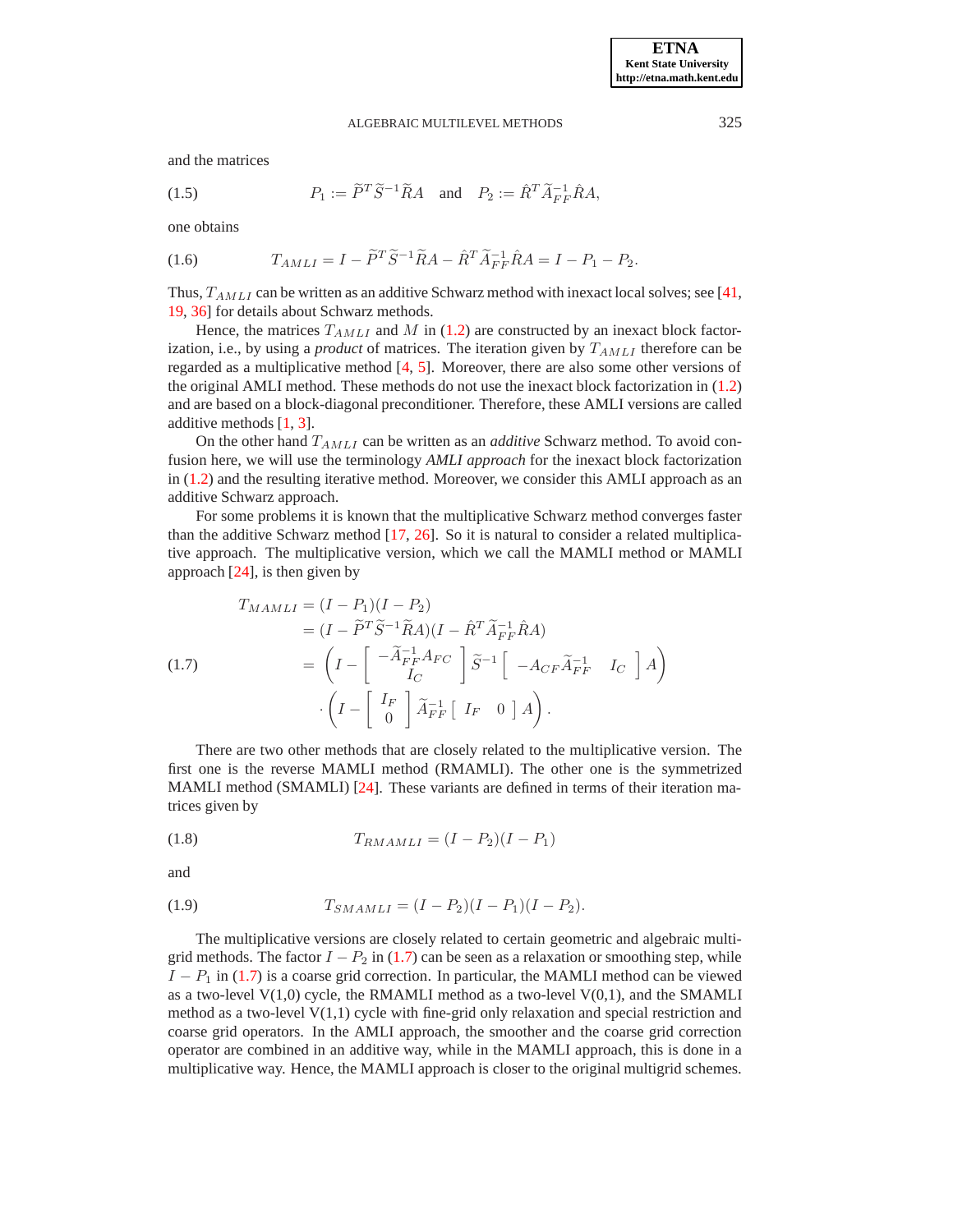and the matrices

(1.5) 
$$
P_1 := \widetilde{P}^T \widetilde{S}^{-1} \widetilde{R} A \quad \text{and} \quad P_2 := \widehat{R}^T \widetilde{A}_{FF}^{-1} \widehat{R} A,
$$

one obtains

<span id="page-2-1"></span>(1.6) 
$$
T_{AMLI} = I - \widetilde{P}^T \widetilde{S}^{-1} \widetilde{R} A - \hat{R}^T \widetilde{A}_{FF}^{-1} \widehat{R} A = I - P_1 - P_2.
$$

Thus,  $T_{AMLI}$  can be written as an additive Schwarz method with inexact local solves; see [\[41,](#page-22-8) [19,](#page-21-9) [36\]](#page-22-9) for details about Schwarz methods.

Hence, the matrices  $T_{AMLI}$  and M in [\(1.2\)](#page-1-0) are constructed by an inexact block factorization, i.e., by using a *product* of matrices. The iteration given by  $T_{AMLI}$  therefore can be regarded as a multiplicative method [\[4,](#page-21-5) [5\]](#page-21-6). Moreover, there are also some other versions of the original AMLI method. These methods do not use the inexact block factorization in  $(1.2)$ and are based on a block-diagonal preconditioner. Therefore, these AMLI versions are called additive methods [\[1,](#page-21-10) [3\]](#page-21-11).

On the other hand TAMLI can be written as an *additive* Schwarz method. To avoid confusion here, we will use the terminology *AMLI approach* for the inexact block factorization in  $(1.2)$  and the resulting iterative method. Moreover, we consider this AMLI approach as an additive Schwarz approach.

For some problems it is known that the multiplicative Schwarz method converges faster than the additive Schwarz method  $[17, 26]$  $[17, 26]$  $[17, 26]$ . So it is natural to consider a related multiplicative approach. The multiplicative version, which we call the MAMLI method or MAMLI approach [\[24\]](#page-21-13), is then given by

<span id="page-2-0"></span>
$$
T_{MAMLI} = (I - P_1)(I - P_2)
$$
  
\n
$$
= (I - \tilde{P}^T \tilde{S}^{-1} \tilde{R} A)(I - \hat{R}^T \tilde{A}_{FF}^{-1} \hat{R} A)
$$
  
\n
$$
= \left(I - \begin{bmatrix} -\tilde{A}_{FF}^{-1} A_{FC} \\ I_C \end{bmatrix} \tilde{S}^{-1} \begin{bmatrix} -A_{CF} \tilde{A}_{FF}^{-1} & I_C \end{bmatrix} A \right)
$$
  
\n
$$
\cdot \left(I - \begin{bmatrix} I_F \\ 0 \end{bmatrix} \tilde{A}_{FF}^{-1} \begin{bmatrix} I_F & 0 \end{bmatrix} A \right).
$$

There are two other methods that are closely related to the multiplicative version. The first one is the reverse MAMLI method (RMAMLI). The other one is the symmetrized MAMLI method (SMAMLI) [\[24\]](#page-21-13). These variants are defined in terms of their iteration matrices given by

<span id="page-2-2"></span>(1.8) 
$$
T_{RMAMLI} = (I - P_2)(I - P_1)
$$

and

<span id="page-2-3"></span>(1.9) 
$$
T_{SMAMLI} = (I - P_2)(I - P_1)(I - P_2).
$$

The multiplicative versions are closely related to certain geometric and algebraic multigrid methods. The factor  $I - P_2$  in [\(1.7\)](#page-2-0) can be seen as a relaxation or smoothing step, while  $I - P_1$  in [\(1.7\)](#page-2-0) is a coarse grid correction. In particular, the MAMLI method can be viewed as a two-level  $V(1,0)$  cycle, the RMAMLI method as a two-level  $V(0,1)$ , and the SMAMLI method as a two-level  $V(1,1)$  cycle with fine-grid only relaxation and special restriction and coarse grid operators. In the AMLI approach, the smoother and the coarse grid correction operator are combined in an additive way, while in the MAMLI approach, this is done in a multiplicative way. Hence, the MAMLI approach is closer to the original multigrid schemes.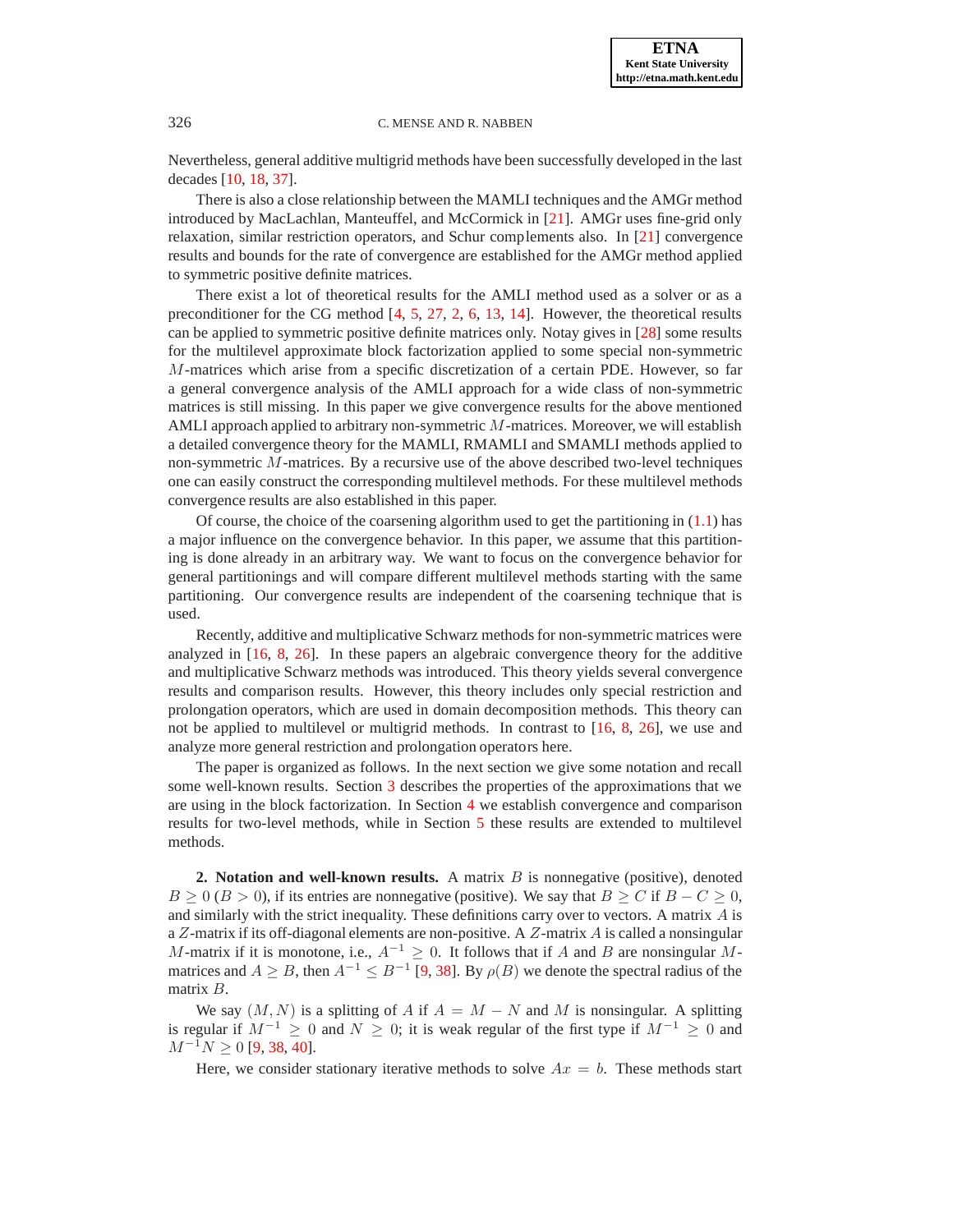Nevertheless, general additive multigrid methods have been successfully developed in the last decades [\[10,](#page-21-14) [18,](#page-21-15) [37\]](#page-22-11).

There is also a close relationship between the MAMLI techniques and the AMGr method introduced by MacLachlan, Manteuffel, and McCormick in [\[21\]](#page-21-16). AMGr uses fine-grid only relaxation, similar restriction operators, and Schur complements also. In [\[21\]](#page-21-16) convergence results and bounds for the rate of convergence are established for the AMGr method applied to symmetric positive definite matrices.

There exist a lot of theoretical results for the AMLI method used as a solver or as a preconditioner for the CG method [\[4,](#page-21-5) [5,](#page-21-6) [27,](#page-22-6) [2,](#page-21-7) [6,](#page-21-17) [13,](#page-21-18) [14\]](#page-21-19). However, the theoretical results can be applied to symmetric positive definite matrices only. Notay gives in [\[28\]](#page-22-12) some results for the multilevel approximate block factorization applied to some special non-symmetric M-matrices which arise from a specific discretization of a certain PDE. However, so far a general convergence analysis of the AMLI approach for a wide class of non-symmetric matrices is still missing. In this paper we give convergence results for the above mentioned AMLI approach applied to arbitrary non-symmetric  $M$ -matrices. Moreover, we will establish a detailed convergence theory for the MAMLI, RMAMLI and SMAMLI methods applied to non-symmetric M-matrices. By a recursive use of the above described two-level techniques one can easily construct the corresponding multilevel methods. For these multilevel methods convergence results are also established in this paper.

Of course, the choice of the coarsening algorithm used to get the partitioning in  $(1.1)$  has a major influence on the convergence behavior. In this paper, we assume that this partitioning is done already in an arbitrary way. We want to focus on the convergence behavior for general partitionings and will compare different multilevel methods starting with the same partitioning. Our convergence results are independent of the coarsening technique that is used.

Recently, additive and multiplicative Schwarz methods for non-symmetric matrices were analyzed in [\[16,](#page-21-20) [8,](#page-21-21) [26\]](#page-22-10). In these papers an algebraic convergence theory for the additive and multiplicative Schwarz methods was introduced. This theory yields several convergence results and comparison results. However, this theory includes only special restriction and prolongation operators, which are used in domain decomposition methods. This theory can not be applied to multilevel or multigrid methods. In contrast to [\[16,](#page-21-20) [8,](#page-21-21) [26\]](#page-22-10), we use and analyze more general restriction and prolongation operators here.

The paper is organized as follows. In the next section we give some notation and recall some well-known results. Section [3](#page-5-0) describes the properties of the approximations that we are using in the block factorization. In Section [4](#page-7-0) we establish convergence and comparison results for two-level methods, while in Section [5](#page-15-0) these results are extended to multilevel methods.

**2. Notation and well-known results.** A matrix B is nonnegative (positive), denoted  $B \ge 0$  ( $B > 0$ ), if its entries are nonnegative (positive). We say that  $B \ge C$  if  $B - C \ge 0$ , and similarly with the strict inequality. These definitions carry over to vectors. A matrix  $A$  is a Z-matrix if its off-diagonal elements are non-positive. A Z-matrix  $\ddot{A}$  is called a nonsingular M-matrix if it is monotone, i.e.,  $A^{-1} \geq 0$ . It follows that if A and B are nonsingular Mmatrices and  $A \geq B$ , then  $A^{-1} \leq B^{-1}$  [\[9,](#page-21-1) [38\]](#page-22-13). By  $\rho(B)$  we denote the spectral radius of the matrix B.

We say  $(M, N)$  is a splitting of A if  $A = M - N$  and M is nonsingular. A splitting is regular if  $M^{-1} \ge 0$  and  $N \ge 0$ ; it is weak regular of the first type if  $M^{-1} \ge 0$  and  $M^{-1}N \geq 0$  [\[9,](#page-21-1) [38,](#page-22-13) [40\]](#page-22-14).

Here, we consider stationary iterative methods to solve  $Ax = b$ . These methods start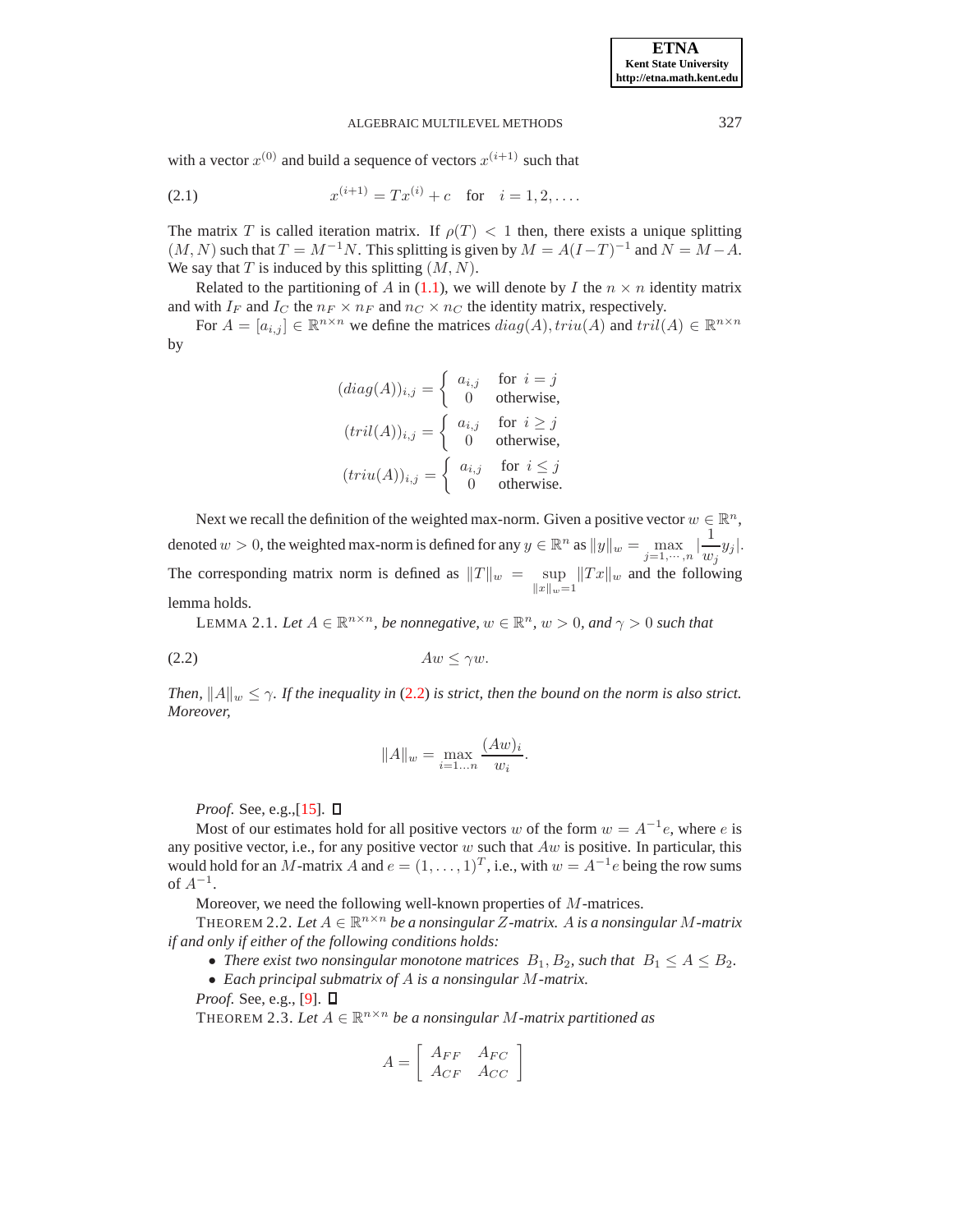with a vector  $x^{(0)}$  and build a sequence of vectors  $x^{(i+1)}$  such that

(2.1) 
$$
x^{(i+1)} = Tx^{(i)} + c \text{ for } i = 1, 2, ...
$$

The matrix T is called iteration matrix. If  $\rho(T) < 1$  then, there exists a unique splitting  $(M, N)$  such that  $T = M^{-1}N$ . This splitting is given by  $M = A(I - T)^{-1}$  and  $N = M - A$ . We say that  $T$  is induced by this splitting  $(M, N)$ .

Related to the partitioning of A in [\(1.1\)](#page-1-2), we will denote by I the  $n \times n$  identity matrix and with  $I_F$  and  $I_C$  the  $n_F \times n_F$  and  $n_C \times n_C$  the identity matrix, respectively.

For  $A = [a_{i,j}] \in \mathbb{R}^{n \times n}$  we define the matrices  $diag(A), triu(A)$  and  $tril(A) \in \mathbb{R}^{n \times n}$ by

$$
(diag(A))_{i,j} = \begin{cases} a_{i,j} & \text{for } i = j \\ 0 & \text{otherwise,} \end{cases}
$$

$$
(tril(A))_{i,j} = \begin{cases} a_{i,j} & \text{for } i \ge j \\ 0 & \text{otherwise,} \end{cases}
$$

$$
(triu(A))_{i,j} = \begin{cases} a_{i,j} & \text{for } i \le j \\ 0 & \text{otherwise.} \end{cases}
$$

Next we recall the definition of the weighted max-norm. Given a positive vector  $w \in \mathbb{R}^n$ , denoted  $w > 0$ , the weighted max-norm is defined for any  $y \in \mathbb{R}^n$  as  $||y||_w = \max_{j=1,\dots,n} |\frac{1}{w_j}|$  $\frac{1}{w_j}y_j$ . The corresponding matrix norm is defined as  $||T||_w = \sup_{||x||_w=1} ||Tx||_w$  and the following lemma holds.

LEMMA 2.1. *Let*  $A \in \mathbb{R}^{n \times n}$ , *be nonnegative*,  $w \in \mathbb{R}^n$ ,  $w > 0$ , and  $\gamma > 0$  such that

<span id="page-4-1"></span>(2.2) Aw ≤ γw.

*Then,*  $||A||_w \leq \gamma$ . *If the inequality in* [\(2.2\)](#page-4-0) *is strict, then the bound on the norm is also strict. Moreover,*

<span id="page-4-0"></span>
$$
||A||_{w} = \max_{i=1...n} \frac{(Aw)_i}{w_i}.
$$

*Proof.* See, e.g.,[\[15\]](#page-21-22). **□** 

Most of our estimates hold for all positive vectors w of the form  $w = A^{-1}e$ , where e is any positive vector, i.e., for any positive vector  $w$  such that  $Aw$  is positive. In particular, this would hold for an M-matrix A and  $e = (1, \ldots, 1)^T$ , i.e., with  $w = A^{-1}e$  being the row sums of  $A^{-1}$ .

Moreover, we need the following well-known properties of M-matrices.

<span id="page-4-3"></span><span id="page-4-2"></span>THEOREM 2.2. Let  $A \in \mathbb{R}^{n \times n}$  be a nonsingular Z-matrix. A is a nonsingular M-matrix *if and only if either of the following conditions holds:*

- *There exist two nonsingular monotone matrices*  $B_1, B_2$ *, such that*  $B_1 \leq A \leq B_2$ *.*
- *Each principal submatrix of* A *is a nonsingular* M*-matrix.*

*Proof.* See, e.g., [\[9\]](#page-21-1). □

THEOREM 2.3. Let  $A \in \mathbb{R}^{n \times n}$  be a nonsingular M-matrix partitioned as

$$
A=\left[\begin{array}{cc} A_{FF} & A_{FC} \\ A_{CF} & A_{CC} \end{array}\right]
$$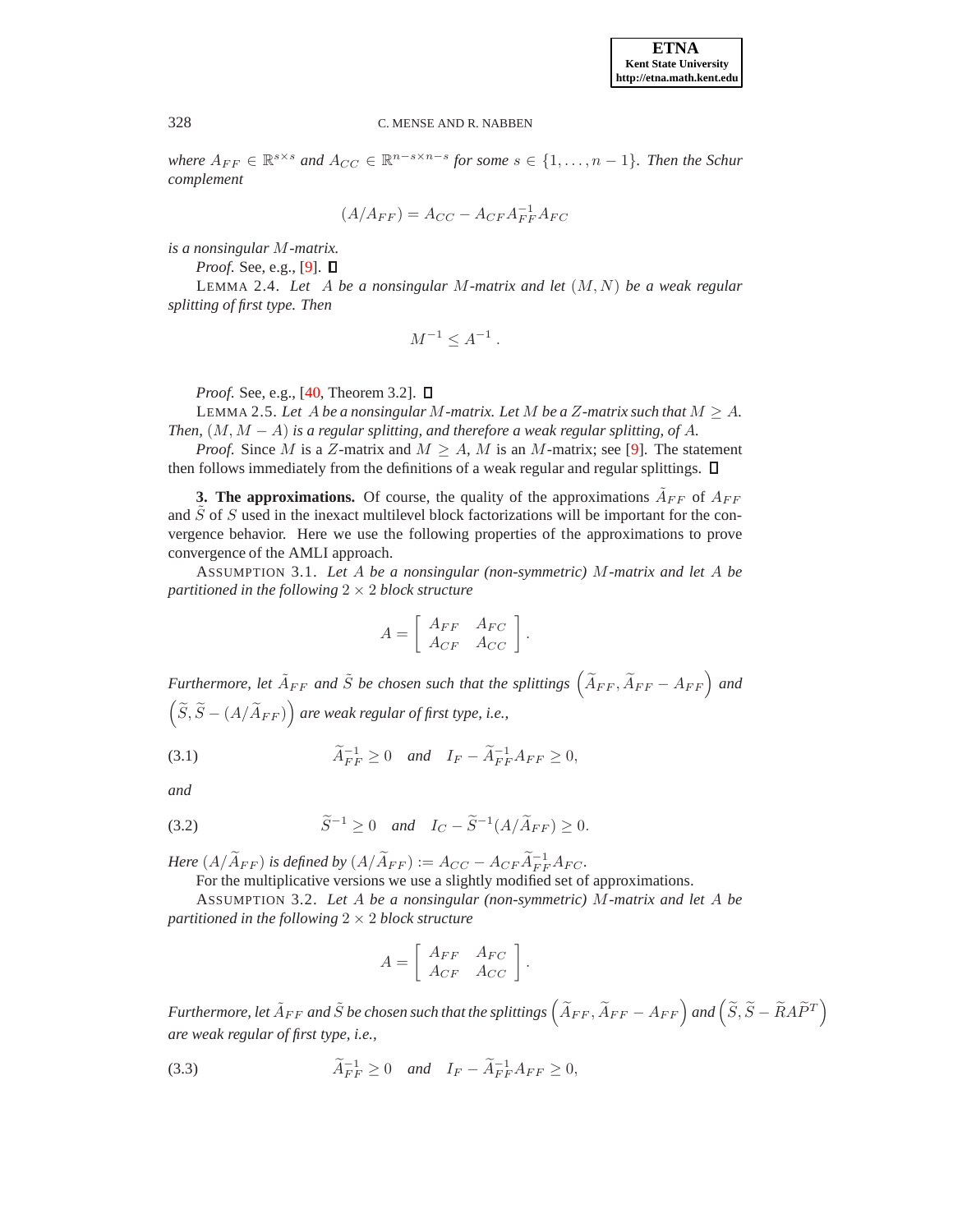*where*  $A_{FF}$  ∈  $\mathbb{R}^{s \times s}$  *and*  $A_{CC}$  ∈  $\mathbb{R}^{n-s \times n-s}$  *for some*  $s$  ∈ {1, ..., *n* − 1}*. Then the Schur complement*

$$
(A/A_{FF}) = A_{CC} - A_{CF}A_{FF}^{-1}A_{FC}
$$

*is a nonsingular* M*-matrix.*

*Proof.* See, e.g., [\[9\]](#page-21-1). **D** 

<span id="page-5-7"></span>LEMMA 2.4. *Let* A *be a nonsingular* M*-matrix and let* (M, N) *be a weak regular splitting of first type. Then*

$$
M^{-1} \leq A^{-1} .
$$

*Proof.* See, e.g., [\[40,](#page-22-14) Theorem 3.2]. **D** 

<span id="page-5-5"></span>LEMMA 2.5. Let A be a nonsingular M-matrix. Let M be a Z-matrix such that  $M \geq A$ . *Then,*  $(M, M - A)$  *is a regular splitting, and therefore a weak regular splitting, of* A.

*Proof.* Since M is a Z-matrix and  $M \geq A$ , M is an M-matrix; see [\[9\]](#page-21-1). The statement then follows immediately from the definitions of a weak regular and regular splittings.  $\Box$ 

<span id="page-5-0"></span>**3. The approximations.** Of course, the quality of the approximations  $\tilde{A}_{FF}$  of  $A_{FF}$ and  $S$  of  $S$  used in the inexact multilevel block factorizations will be important for the convergence behavior. Here we use the following properties of the approximations to prove convergence of the AMLI approach.

<span id="page-5-1"></span>ASSUMPTION 3.1. *Let* A *be a nonsingular (non-symmetric)* M*-matrix and let* A *be partitioned in the following* 2 × 2 *block structure*

$$
A = \left[ \begin{array}{cc} A_{FF} & A_{FC} \\ A_{CF} & A_{CC} \end{array} \right].
$$

Furthermore, let  $\tilde{A}_{FF}$  and  $\tilde{S}$  be chosen such that the splittings  $\left(\widetilde{A}_{FF}, \widetilde{A}_{FF} - A_{FF}\right)$  and  $\left(\widetilde{S}, \widetilde{S}-(A/\widetilde{A}_{FF})\right)$  are weak regular of first type, i.e.,

<span id="page-5-3"></span>(3.1) 
$$
\widetilde{A}_{FF}^{-1} \ge 0 \quad \text{and} \quad I_F - \widetilde{A}_{FF}^{-1} A_{FF} \ge 0,
$$

*and*

<span id="page-5-4"></span>(3.2) 
$$
\widetilde{S}^{-1} \geq 0 \quad \text{and} \quad I_C - \widetilde{S}^{-1}(A/\widetilde{A}_{FF}) \geq 0.
$$

*Here*  $(A/\widetilde{A}_{FF})$  *is defined by*  $(A/\widetilde{A}_{FF}) := A_{CC} - A_{CF}\widetilde{A}_{FF}^{-1}A_{FC}$ *.* 

For the multiplicative versions we use a slightly modified set of approximations.

<span id="page-5-2"></span>ASSUMPTION 3.2. *Let* A *be a nonsingular (non-symmetric)* M*-matrix and let* A *be partitioned in the following* 2 × 2 *block structure*

$$
A = \left[ \begin{array}{cc} A_{FF} & A_{FC} \\ A_{CF} & A_{CC} \end{array} \right].
$$

Furthermore, let  $\tilde{A}_{FF}$  and  $\tilde{S}$  be chosen such that the splittings  $\left(\widetilde{A}_{FF},\widetilde{A}_{FF}-A_{FF}\right)$  and  $\left(\widetilde{S},\widetilde{S}-\widetilde{R}A\widetilde{P}^T\right)$ *are weak regular of first type, i.e.,*

<span id="page-5-6"></span>(3.3) 
$$
\widetilde{A}_{FF}^{-1} \ge 0 \quad \text{and} \quad I_F - \widetilde{A}_{FF}^{-1} A_{FF} \ge 0,
$$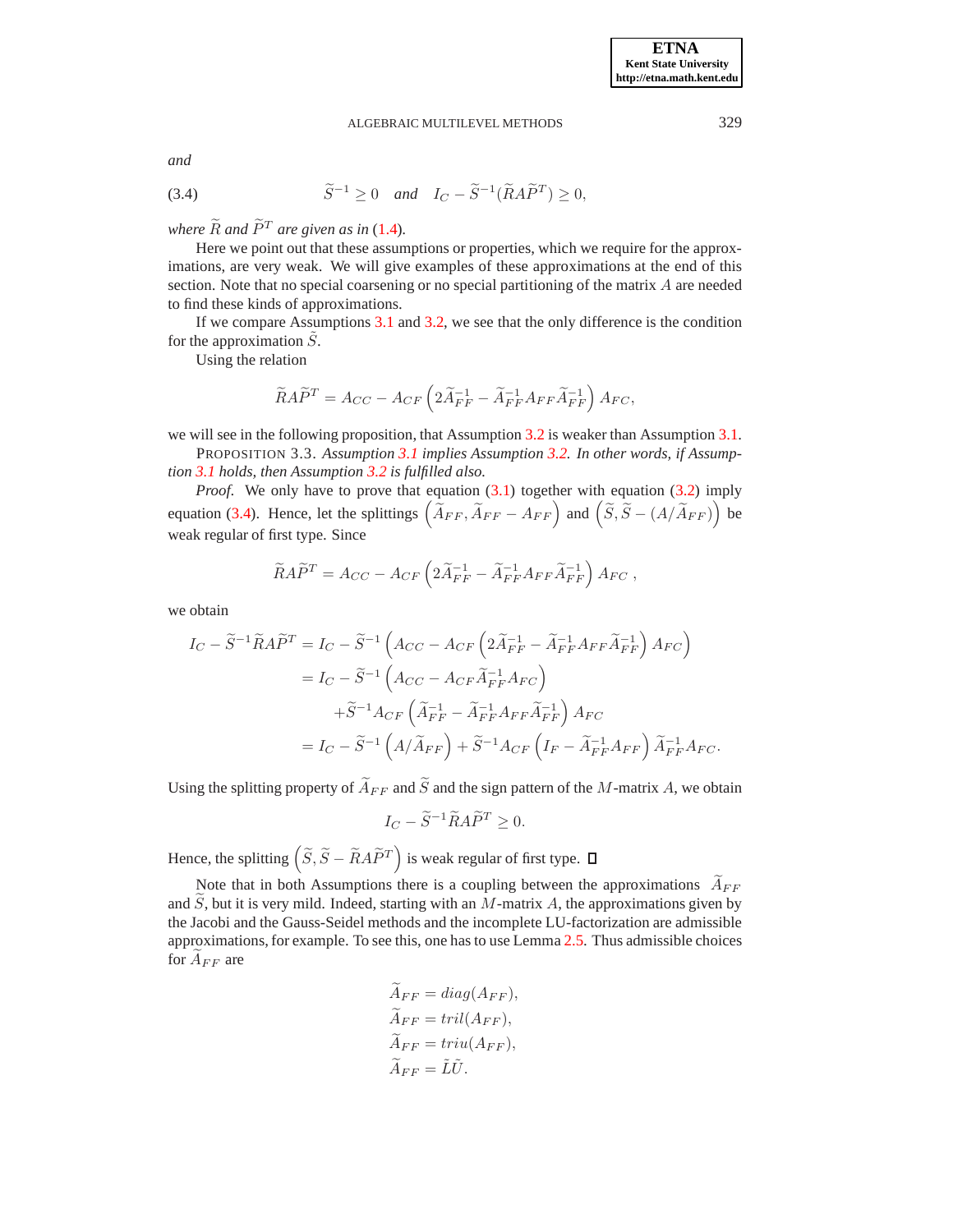*and*

<span id="page-6-0"></span>(3.4) 
$$
\widetilde{S}^{-1} \geq 0 \quad \text{and} \quad I_C - \widetilde{S}^{-1}(\widetilde{R}A\widetilde{P}^T) \geq 0,
$$

*where*  $\widetilde{R}$  *and*  $\widetilde{P}^T$  *are given as in* [\(1.4\)](#page-1-3)*.* 

Here we point out that these assumptions or properties, which we require for the approximations, are very weak. We will give examples of these approximations at the end of this section. Note that no special coarsening or no special partitioning of the matrix A are needed to find these kinds of approximations.

If we compare Assumptions [3.1](#page-5-1) and [3.2,](#page-5-2) we see that the only difference is the condition for the approximation  $S$ .

Using the relation

$$
\widetilde{R}A\widetilde{P}^T=A_{CC}-A_{CF}\left(2\widetilde{A}_{FF}^{-1}-\widetilde{A}_{FF}^{-1}A_{FF}\widetilde{A}_{FF}^{-1}\right)A_{FC},
$$

<span id="page-6-1"></span>we will see in the following proposition, that Assumption [3.2](#page-5-2) is weaker than Assumption [3.1.](#page-5-1)

PROPOSITION 3.3. *Assumption [3.1](#page-5-1) implies Assumption [3.2.](#page-5-2) In other words, if Assumption [3.1](#page-5-1) holds, then Assumption [3.2](#page-5-2) is fulfilled also.*

*Proof.* We only have to prove that equation [\(3.1\)](#page-5-3) together with equation [\(3.2\)](#page-5-4) imply equation [\(3.4\)](#page-6-0). Hence, let the splittings  $(\hat{A}_{FF}, \tilde{A}_{FF} - A_{FF})$  and  $(\tilde{S}, \tilde{S} - (A/\tilde{A}_{FF}))$  be weak regular of first type. Since

$$
\widetilde{R}A\widetilde{P}^T = A_{CC} - A_{CF}\left(2\widetilde{A}_{FF}^{-1} - \widetilde{A}_{FF}^{-1}A_{FF}\widetilde{A}_{FF}^{-1}\right)A_{FC},
$$

we obtain

$$
I_C - \widetilde{S}^{-1}\widetilde{R}A\widetilde{P}^T = I_C - \widetilde{S}^{-1}\left(A_{CC} - A_{CF}\left(2\widetilde{A}_{FF}^{-1} - \widetilde{A}_{FF}^{-1}A_{FF}\widetilde{A}_{FF}^{-1}\right)A_{FC}\right)
$$
  
\n
$$
= I_C - \widetilde{S}^{-1}\left(A_{CC} - A_{CF}\widetilde{A}_{FF}^{-1}A_{FC}\right)
$$
  
\n
$$
+ \widetilde{S}^{-1}A_{CF}\left(\widetilde{A}_{FF}^{-1} - \widetilde{A}_{FF}^{-1}A_{FF}\widetilde{A}_{FF}^{-1}\right)A_{FC}
$$
  
\n
$$
= I_C - \widetilde{S}^{-1}\left(A/\widetilde{A}_{FF}\right) + \widetilde{S}^{-1}A_{CF}\left(I_F - \widetilde{A}_{FF}^{-1}A_{FF}\right)\widetilde{A}_{FF}^{-1}A_{FC}.
$$

Using the splitting property of  $\widetilde{A}_{FF}$  and  $\widetilde{S}$  and the sign pattern of the M-matrix A, we obtain

$$
I_C - \widetilde{S}^{-1} \widetilde{R} A \widetilde{P}^T \ge 0.
$$

Hence, the splitting  $\left(\widetilde{S}, \widetilde{S} - \widetilde{R}A\widetilde{P}^T\right)$  is weak regular of first type.

Note that in both Assumptions there is a coupling between the approximations  $\overline{A_{FF}}$ and  $S$ , but it is very mild. Indeed, starting with an  $M$ -matrix  $A$ , the approximations given by the Jacobi and the Gauss-Seidel methods and the incomplete LU-factorization are admissible approximations, for example. To see this, one has to use Lemma [2.5.](#page-5-5) Thus admissible choices for  $A_{FF}$  are

$$
\widetilde{A}_{FF} = diag(A_{FF}),
$$
\n
$$
\widetilde{A}_{FF} = tril(A_{FF}),
$$
\n
$$
\widetilde{A}_{FF} = triu(A_{FF}),
$$
\n
$$
\widetilde{A}_{FF} = \widetilde{L}\widetilde{U}.
$$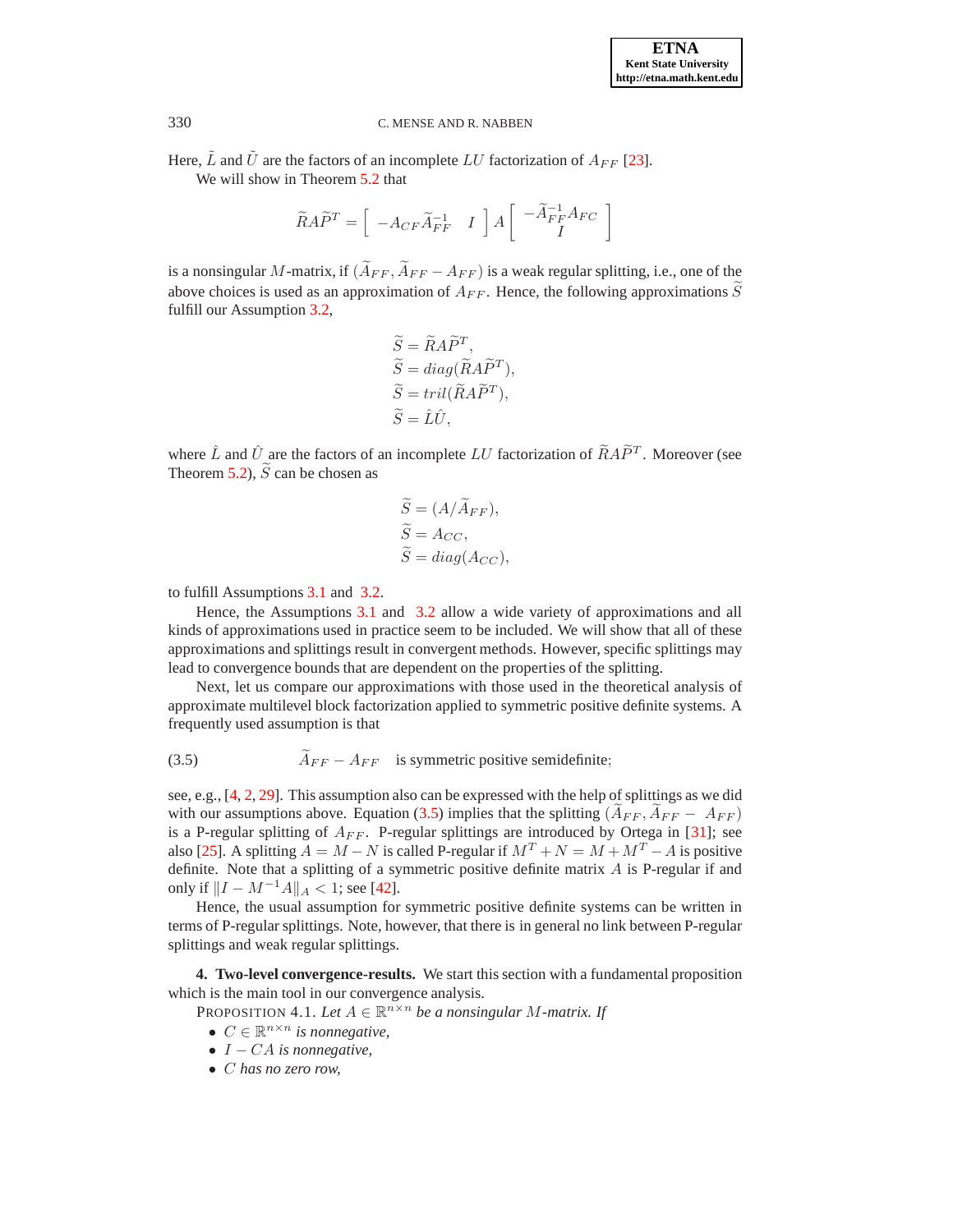Here,  $\tilde{L}$  and  $\tilde{U}$  are the factors of an incomplete LU factorization of  $A_{FF}$  [\[23\]](#page-21-23).

We will show in Theorem [5.2](#page-16-0) that

$$
\widetilde{R}A\widetilde{P}^T = \left[ \begin{array}{cc} -A_{CF}\widetilde{A}_{FF}^{-1} & I \end{array} \right] A \left[ \begin{array}{c} -\widetilde{A}_{FF}^{-1}A_{FC} \\ I \end{array} \right]
$$

is a nonsingular M-matrix, if  $(\widetilde{A}_{FF}, \widetilde{A}_{FF} - A_{FF})$  is a weak regular splitting, i.e., one of the above choices is used as an approximation of  $A_{FF}$ . Hence, the following approximations  $\widetilde{S}$ fulfill our Assumption [3.2,](#page-5-2)

$$
\widetilde{S} = \widetilde{R}A\widetilde{P}^T,
$$
  
\n
$$
\widetilde{S} = diag(\widetilde{R}A\widetilde{P}^T),
$$
  
\n
$$
\widetilde{S} = tril(\widetilde{R}A\widetilde{P}^T),
$$
  
\n
$$
\widetilde{S} = \hat{L}\hat{U},
$$

where  $\hat{L}$  and  $\hat{U}_{\tilde{C}}$  are the factors of an incomplete LU factorization of  $\tilde{R}A\tilde{P}^T$ . Moreover (see Theorem [5.2\)](#page-16-0),  $\widetilde{S}$  can be chosen as

$$
\widetilde{S} = (A/\widetilde{A}_{FF}),
$$
  
\n
$$
\widetilde{S} = A_{CC},
$$
  
\n
$$
\widetilde{S} = diag(A_{CC}),
$$

to fulfill Assumptions [3.1](#page-5-1) and [3.2.](#page-5-2)

Hence, the Assumptions [3.1](#page-5-1) and [3.2](#page-5-2) allow a wide variety of approximations and all kinds of approximations used in practice seem to be included. We will show that all of these approximations and splittings result in convergent methods. However, specific splittings may lead to convergence bounds that are dependent on the properties of the splitting.

Next, let us compare our approximations with those used in the theoretical analysis of approximate multilevel block factorization applied to symmetric positive definite systems. A frequently used assumption is that

<span id="page-7-1"></span>(3.5)  $\widetilde{A}_{FF} - A_{FF}$  is symmetric positive semidefinite;

see, e.g., [\[4,](#page-21-5) [2,](#page-21-7) [29\]](#page-22-3). This assumption also can be expressed with the help of splittings as we did with our assumptions above. Equation [\(3.5\)](#page-7-1) implies that the splitting  $(A_{FF}, A_{FF} - A_{FF})$ is a P-regular splitting of  $A_{FF}$ . P-regular splittings are introduced by Ortega in [\[31\]](#page-22-15); see also [\[25\]](#page-22-16). A splitting  $A = M - N$  is called P-regular if  $M<sup>T</sup> + N = M + M<sup>T</sup> - A$  is positive definite. Note that a splitting of a symmetric positive definite matrix  $A$  is P-regular if and only if  $||I - M^{-1}A||_A < 1$ ; see [\[42\]](#page-22-17).

Hence, the usual assumption for symmetric positive definite systems can be written in terms of P-regular splittings. Note, however, that there is in general no link between P-regular splittings and weak regular splittings.

<span id="page-7-0"></span>**4. Two-level convergence-results.** We start this section with a fundamental proposition which is the main tool in our convergence analysis.

PROPOSITION 4.1. Let  $A \in \mathbb{R}^{n \times n}$  be a nonsingular M-matrix. If

- <span id="page-7-2"></span>•  $C \in \mathbb{R}^{n \times n}$  *is nonnegative,*
- I − CA *is nonnegative,*
- C *has no zero row,*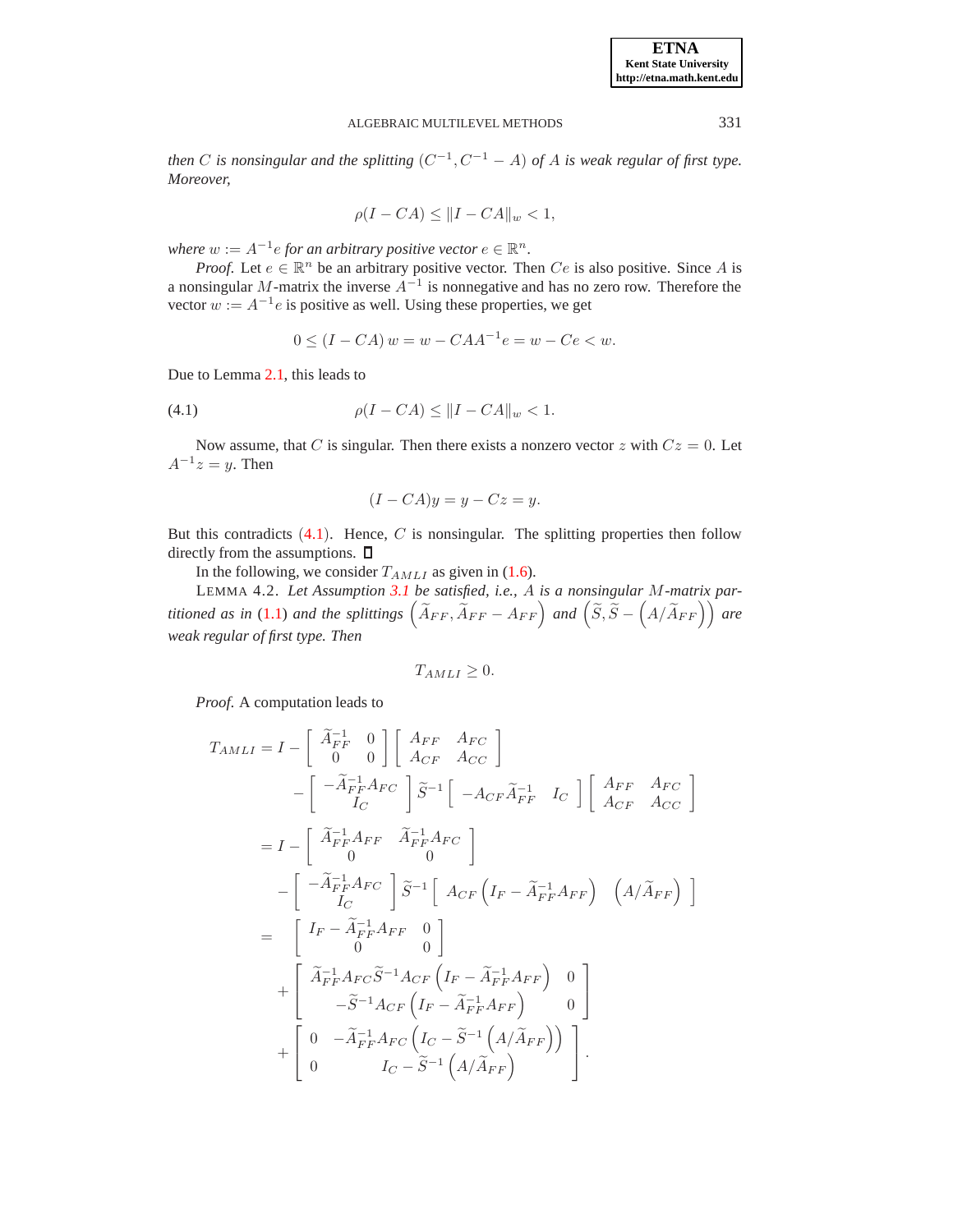*then* C is nonsingular and the splitting  $(C^{-1}, C^{-1} - A)$  of A is weak regular of first type. *Moreover,*

$$
\rho(I - CA) \le ||I - CA||_w < 1,
$$

where  $w := A^{-1}e$  for an arbitrary positive vector  $e \in \mathbb{R}^n$ .

*Proof.* Let  $e \in \mathbb{R}^n$  be an arbitrary positive vector. Then  $Ce$  is also positive. Since A is a nonsingular M-matrix the inverse  $A^{-1}$  is nonnegative and has no zero row. Therefore the vector  $w := A^{-1}e$  is positive as well. Using these properties, we get

$$
0 \le (I - CA) w = w - CAA^{-1}e = w - Ce < w.
$$

Due to Lemma [2.1,](#page-4-1) this leads to

<span id="page-8-0"></span>(4.1) 
$$
\rho(I - CA) \leq ||I - CA||_{w} < 1.
$$

Now assume, that C is singular. Then there exists a nonzero vector z with  $Cz = 0$ . Let  $A^{-1}z = y$ . Then

$$
(I - CA)y = y - Cz = y.
$$

But this contradicts  $(4.1)$  $(4.1)$  $(4.1)$ . Hence, C is nonsingular. The splitting properties then follow directly from the assumptions.  $\square$ 

In the following, we consider  $T_{AMLI}$  as given in [\(1.6\)](#page-2-1).

<span id="page-8-1"></span>LEMMA 4.2. *Let Assumption [3.1](#page-5-1) be satisfied, i.e.,* A *is a nonsingular* M*-matrix partitioned as in* [\(1.1\)](#page-1-2) *and the splittings*  $(\widetilde{A}_{FF}, \widetilde{A}_{FF} - A_{FF})$  *and*  $(\widetilde{S}, \widetilde{S} - (A/\widetilde{A}_{FF}))$  *are weak regular of first type. Then*

$$
T_{AMLI}\geq 0.
$$

*Proof*. A computation leads to

$$
T_{AMLI} = I - \begin{bmatrix} \tilde{A}_{FF}^{-1} & 0 \\ 0 & 0 \end{bmatrix} \begin{bmatrix} A_{FF} & A_{FC} \\ A_{CF} & A_{CC} \end{bmatrix}
$$
  
\n
$$
- \begin{bmatrix} -\tilde{A}_{FF}^{-1}A_{FC} \\ I_C \end{bmatrix} \tilde{S}^{-1} \begin{bmatrix} -A_{CF}\tilde{A}_{FF}^{-1} & I_C \end{bmatrix} \begin{bmatrix} A_{FF} & A_{FC} \\ A_{CF} & A_{CC} \end{bmatrix}
$$
  
\n
$$
= I - \begin{bmatrix} \tilde{A}_{FF}^{-1}A_{FF} & \tilde{A}_{FF}^{-1}A_{FC} \\ 0 & 0 \end{bmatrix}
$$
  
\n
$$
- \begin{bmatrix} -\tilde{A}_{FF}^{-1}A_{FC} \\ I_C \end{bmatrix} \tilde{S}^{-1} \begin{bmatrix} A_{CF} \left( I_F - \tilde{A}_{FF}^{-1}A_{FF} \right) & \left( A/\tilde{A}_{FF} \right) \end{bmatrix}
$$
  
\n
$$
+ \begin{bmatrix} I_F - \tilde{A}_{FF}^{-1}A_{FF} & 0 \\ 0 & 0 \end{bmatrix}
$$
  
\n
$$
+ \begin{bmatrix} \tilde{A}_{FF}^{-1}A_{FC}\tilde{S}^{-1}A_{CF} \left( I_F - \tilde{A}_{FF}^{-1}A_{FF} \right) & 0 \\ -\tilde{S}^{-1}A_{CF} \left( I_F - \tilde{A}_{FF}^{-1}A_{FF} \right) & 0 \end{bmatrix}
$$
  
\n
$$
+ \begin{bmatrix} 0 & -\tilde{A}_{FF}^{-1}A_{FC} \left( I_C - \tilde{S}^{-1} \left( A/\tilde{A}_{FF} \right) \right) \\ 0 & I_C - \tilde{S}^{-1} \left( A/\tilde{A}_{FF} \right) \end{bmatrix}.
$$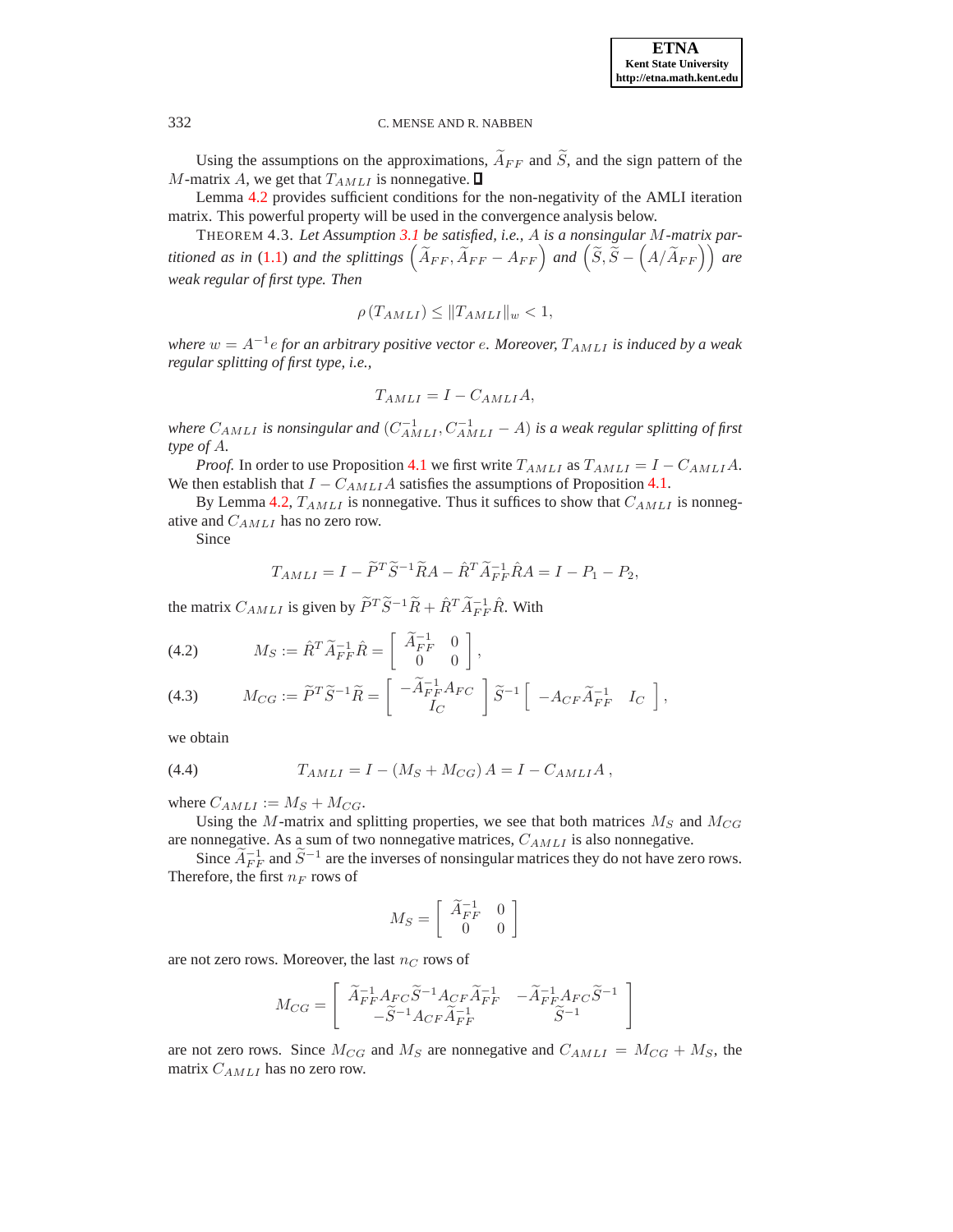Using the assumptions on the approximations,  $\widetilde{A}_{FF}$  and  $\widetilde{S}$ , and the sign pattern of the M-matrix A, we get that  $T_{AMLI}$  is nonnegative.  $\square$ 

<span id="page-9-0"></span>Lemma [4.2](#page-8-1) provides sufficient conditions for the non-negativity of the AMLI iteration matrix. This powerful property will be used in the convergence analysis below.

THEOREM 4.3. *Let Assumption [3.1](#page-5-1) be satisfied, i.e.,* A *is a nonsingular* M*-matrix partitioned as in* [\(1.1\)](#page-1-2) *and the splittings*  $(\widetilde{A}_{FF}, \widetilde{A}_{FF} - A_{FF})$  *and*  $(\widetilde{S}, \widetilde{S} - (A/\widetilde{A}_{FF}))$  *are weak regular of first type. Then*

$$
\rho(T_{AMLI}) \leq ||T_{AMLI}||_w < 1,
$$

 $where w = A^{-1}e$  *for an arbitrary positive vector*  $e$ *. Moreover,*  $T_{AMLI}$  *is induced by a weak regular splitting of first type, i.e.,*

$$
T_{AMLI} = I - C_{AMLI}A,
$$

where  $C_{AMLI}$  is nonsingular and  $(C_{AMLI}^{-1}, C_{AMLI}^{-1} - A)$  is a weak regular splitting of first *type of* A*.*

*Proof.* In order to use Proposition [4.1](#page-7-2) we first write  $T_{AMLI}$  as  $T_{AMLI} = I - C_{AMLI}A$ . We then establish that  $I - C_{AMLI}A$  satisfies the assumptions of Proposition [4.1.](#page-7-2)

By Lemma [4.2,](#page-8-1)  $T_{AMLI}$  is nonnegative. Thus it suffices to show that  $C_{AMLI}$  is nonnegative and  $C_{AMLI}$  has no zero row.

Since

$$
T_{AMLI} = I - \widetilde{P}^T \widetilde{S}^{-1} \widetilde{R} A - \hat{R}^T \widetilde{A}_{FF}^{-1} \hat{R} A = I - P_1 - P_2,
$$

the matrix  $C_{AMLI}$  is given by  $\tilde{P}^T \tilde{S}^{-1} \tilde{R} + \hat{R}^T \tilde{A}_{FF}^{-1} \hat{R}$ . With

<span id="page-9-1"></span>(4.2) 
$$
M_S := \hat{R}^T \widetilde{A}_{FF}^{-1} \hat{R} = \begin{bmatrix} \widetilde{A}_{FF}^{-1} & 0 \\ 0 & 0 \end{bmatrix},
$$

(4.3) 
$$
M_{CG} := \widetilde{P}^T \widetilde{S}^{-1} \widetilde{R} = \begin{bmatrix} -\widetilde{A}_{FF}^{-1} A_{FC} \\ I_C \end{bmatrix} \widetilde{S}^{-1} \begin{bmatrix} -A_{CF} \widetilde{A}_{FF}^{-1} & I_C \end{bmatrix},
$$

<span id="page-9-2"></span>we obtain

(4.4) 
$$
T_{AMLI} = I - (M_S + M_{CG}) A = I - C_{AMLI} A,
$$

where  $C_{AMLI} := M_S + M_{CG}$ .

Using the M-matrix and splitting properties, we see that both matrices  $M_S$  and  $M_{CG}$ are nonnegative. As a sum of two nonnegative matrices,  $C_{AMLI}$  is also nonnegative.

Since  $\widetilde{A}^{-1}_{FF}$  and  $\widetilde{S}^{-1}$  are the inverses of nonsingular matrices they do not have zero rows. Therefore, the first  $n_F$  rows of

$$
M_S = \left[ \begin{array}{cc} \widetilde{A}^{-1}_{FF} & 0 \\ 0 & 0 \end{array} \right]
$$

are not zero rows. Moreover, the last  $n<sub>C</sub>$  rows of

$$
M_{CG}=\left[\begin{array}{cc} \widetilde{A}^{-1}_{FF}A_{FC}\widetilde{S}^{-1}A_{CF}\widetilde{A}^{-1}_{FF} & -\widetilde{A}^{-1}_{FF}A_{FC}\widetilde{S}^{-1} \\ -\widetilde{S}^{-1}A_{CF}\widetilde{A}^{-1}_{FF} & \widetilde{S}^{-1} \end{array}\right]
$$

are not zero rows. Since  $M_{CG}$  and  $M_S$  are nonnegative and  $C_{AMLI} = M_{CG} + M_S$ , the matrix  $C_{AMLI}$  has no zero row.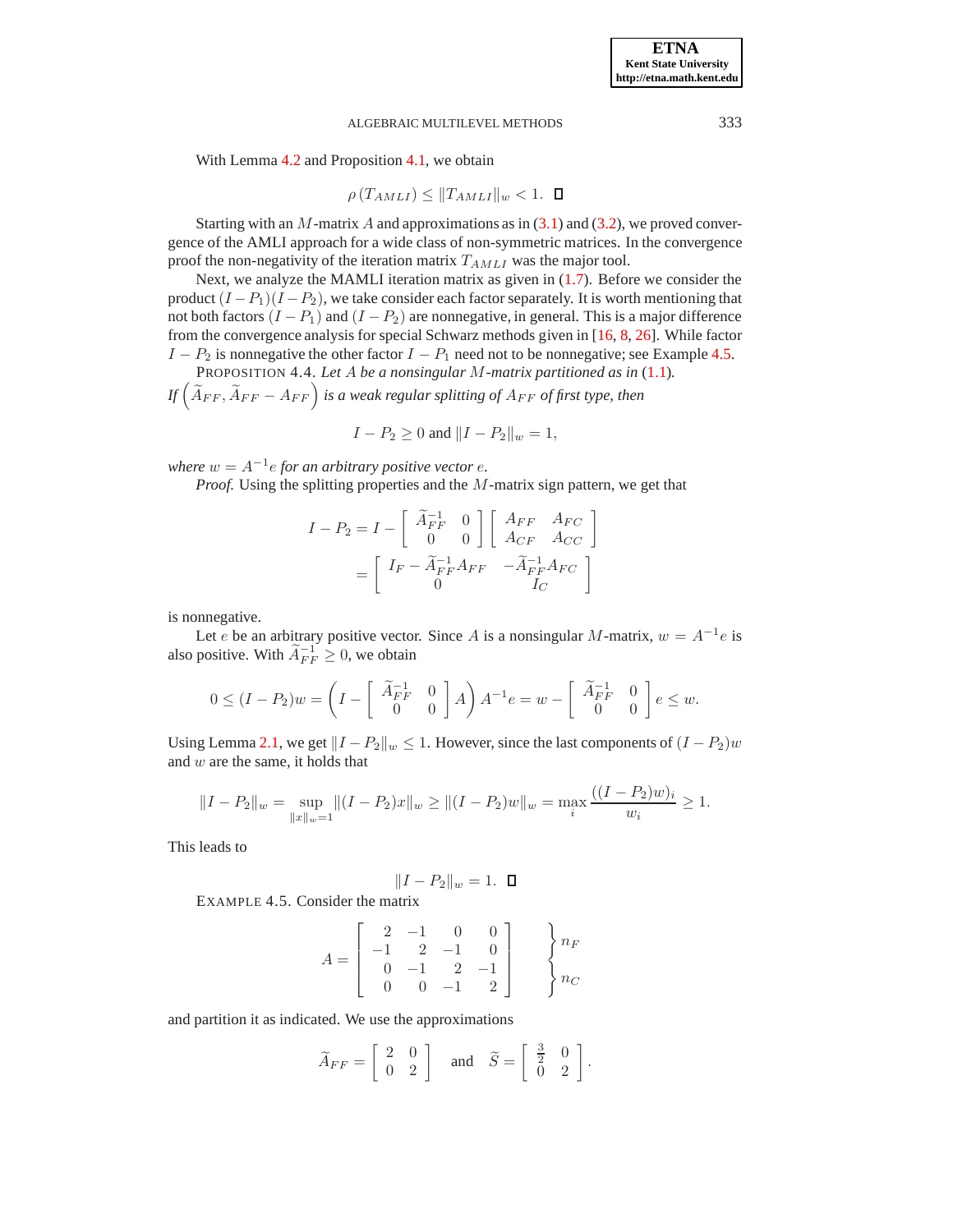With Lemma [4.2](#page-8-1) and Proposition [4.1,](#page-7-2) we obtain

$$
\rho(T_{AMILI}) \leq \|T_{AMILI}\|_w < 1. \quad \blacksquare
$$

Starting with an M-matrix A and approximations as in  $(3.1)$  and  $(3.2)$ , we proved convergence of the AMLI approach for a wide class of non-symmetric matrices. In the convergence proof the non-negativity of the iteration matrix  $T_{AMLI}$  was the major tool.

Next, we analyze the MAMLI iteration matrix as given in [\(1.7\)](#page-2-0). Before we consider the product  $(I - P_1)(I - P_2)$ , we take consider each factor separately. It is worth mentioning that not both factors  $(I - P_1)$  and  $(I - P_2)$  are nonnegative, in general. This is a major difference from the convergence analysis for special Schwarz methods given in [\[16,](#page-21-20) [8,](#page-21-21) [26\]](#page-22-10). While factor  $I - P_2$  is nonnegative the other factor  $I - P_1$  need not to be nonnegative; see Example [4.5.](#page-10-0)

<span id="page-10-1"></span>PROPOSITION 4.4. *Let* A *be a nonsingular* M*-matrix partitioned as in* [\(1.1\)](#page-1-2)*.* If  $\left(\widetilde{A}_{FF}, \widetilde{A}_{FF} - A_{FF}\right)$  is a weak regular splitting of  $A_{FF}$  of first type, then

 $I - P_2 \ge 0$  and  $||I - P_2||_w = 1$ ,

where  $w = A^{-1}e$  for an arbitrary positive vector  $e$ .

*Proof.* Using the splitting properties and the M-matrix sign pattern, we get that

$$
I - P_2 = I - \begin{bmatrix} \tilde{A}_{FF}^{-1} & 0 \\ 0 & 0 \end{bmatrix} \begin{bmatrix} A_{FF} & A_{FC} \\ A_{CF} & A_{CC} \end{bmatrix}
$$

$$
= \begin{bmatrix} I_F - \tilde{A}_{FF}^{-1} A_{FF} & -\tilde{A}_{FF}^{-1} A_{FC} \\ 0 & I_C \end{bmatrix}
$$

is nonnegative.

Let *e* be an arbitrary positive vector. Since *A* is a nonsingular *M*-matrix,  $w = A^{-1}e$  is also positive. With  $\widetilde{A}^{-1}_{FF} \geq 0$ , we obtain

$$
0 \leq (I - P_2)w = \left(I - \begin{bmatrix} \widetilde{A}_{FF}^{-1} & 0\\ 0 & 0 \end{bmatrix} A\right) A^{-1}e = w - \begin{bmatrix} \widetilde{A}_{FF}^{-1} & 0\\ 0 & 0 \end{bmatrix} e \leq w.
$$

Using Lemma [2.1,](#page-4-1) we get  $||I - P_2||_w \le 1$ . However, since the last components of  $(I - P_2)w$ and  $w$  are the same, it holds that

$$
||I - P_2||_w = \sup_{||x||_w = 1} ||(I - P_2)x||_w \ge ||(I - P_2)w||_w = \max_i \frac{((I - P_2)w)_i}{w_i} \ge 1.
$$

<span id="page-10-0"></span>This leads to

$$
||I - P_2||_w = 1. \quad \Box
$$

EXAMPLE 4.5. Consider the matrix

$$
A = \left[ \begin{array}{rrrr} 2 & -1 & 0 & 0 \\ -1 & 2 & -1 & 0 \\ 0 & -1 & 2 & -1 \\ 0 & 0 & -1 & 2 \end{array} \right] \quad \begin{array}{c} n_F \\ n_F \\ n_C \end{array}
$$

and partition it as indicated. We use the approximations

$$
\widetilde{A}_{FF} = \begin{bmatrix} 2 & 0 \\ 0 & 2 \end{bmatrix} \quad \text{and} \quad \widetilde{S} = \begin{bmatrix} \frac{3}{2} & 0 \\ 0 & 2 \end{bmatrix}.
$$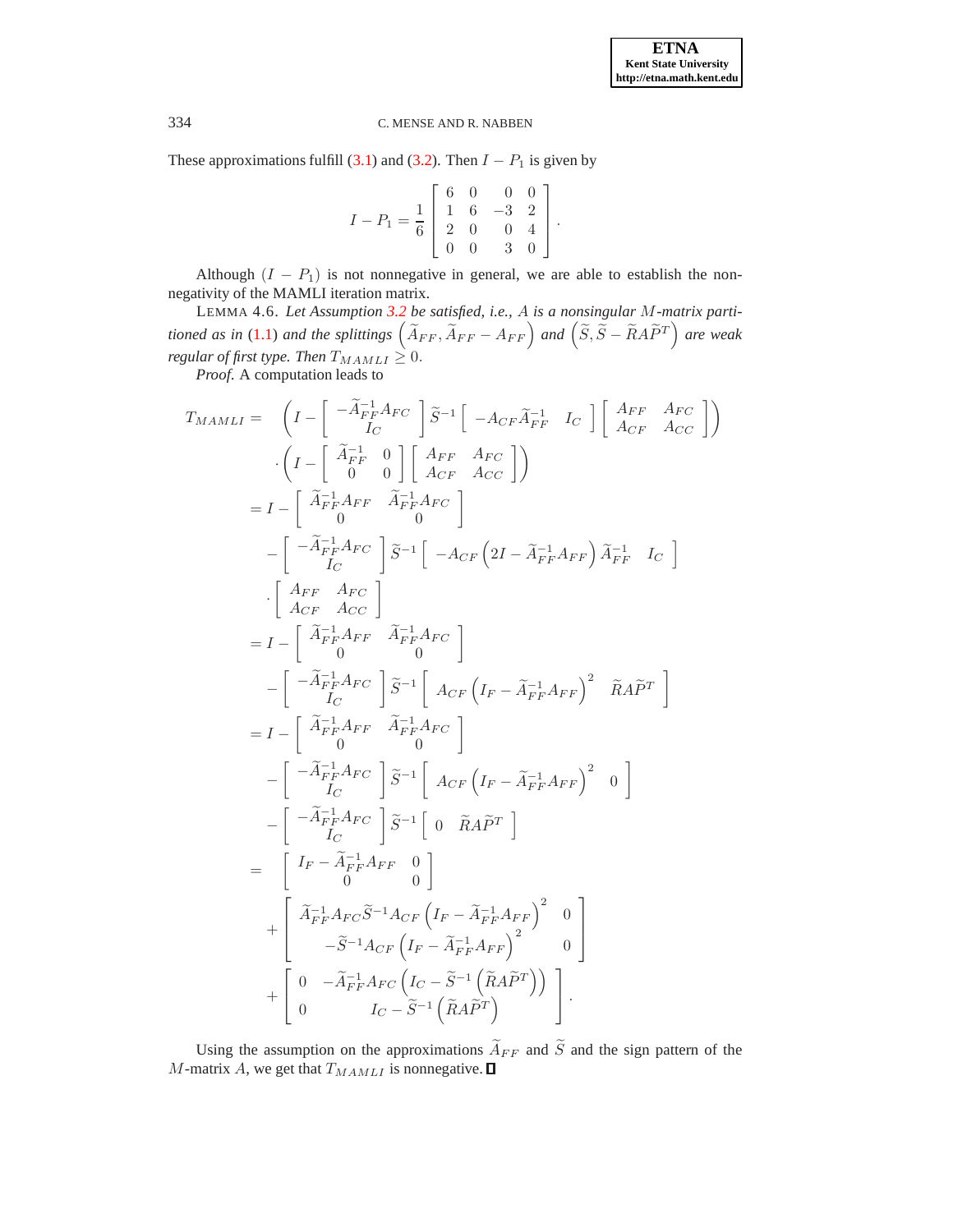These approximations fulfill [\(3.1\)](#page-5-3) and [\(3.2\)](#page-5-4). Then  $I - P_1$  is given by

<span id="page-11-0"></span>
$$
I - P_1 = \frac{1}{6} \left[ \begin{array}{rrrr} 6 & 0 & 0 & 0 \\ 1 & 6 & -3 & 2 \\ 2 & 0 & 0 & 4 \\ 0 & 0 & 3 & 0 \end{array} \right].
$$

Although  $(I - P_1)$  is not nonnegative in general, we are able to establish the nonnegativity of the MAMLI iteration matrix.

LEMMA 4.6. *Let Assumption [3.2](#page-5-2) be satisfied, i.e.,* A *is a nonsingular* M*-matrix partitioned as in* [\(1.1\)](#page-1-2) *and the splittings*  $(\widetilde{A}_{FF}, \widetilde{A}_{FF} - A_{FF})$  *and*  $(\widetilde{S}, \widetilde{S} - \widetilde{R}A\widetilde{P}^{T})$  *are weak regular of first type. Then*  $T_{MAMLI} \geq 0$ .

*Proof*. A computation leads to

$$
T_{MAMLI} = \left(I - \left[\begin{array}{c} -\tilde{A}_{FF}^{+}A_{FC} \end{array}\right] \tilde{S}^{-1} \left[-A_{CF}\tilde{A}_{FF}^{-1} \right] I_{C}\right] \left[\begin{array}{c} A_{FF} & A_{FC} \ A_{CF} & A_{CC} \end{array}\right]\right) \n\cdot \left(I - \left[\begin{array}{c} \tilde{A}_{FF}^{-1} & 0 \ 0 & 0 \end{array}\right] \left[\begin{array}{c} A_{FF} & A_{FC} \ A_{CF} & A_{CC} \end{array}\right]\right) \n= I - \left[\begin{array}{c} \tilde{A}_{FF}^{-1}A_{FF} & \tilde{A}_{FF}^{-1}A_{FC} \ A_{CF} & \tilde{A}_{CF}^{-1}A_{FC} \end{array}\right] \n\cdot \left[\begin{array}{c} A_{FF} & A_{FC} \ B_{CF} & A_{CC} \end{array}\right] \tilde{S}^{-1} \left[-A_{CF}\left(2I - \tilde{A}_{FF}^{-1}A_{FF}\right) \tilde{A}_{FF}^{-1} \right] I_{C}\right] \n\cdot \left[\begin{array}{c} A_{FF} & A_{FC} \ A_{CF} & A_{CC} \end{array}\right] \n= I - \left[\begin{array}{c} \tilde{A}_{FF}^{-1}A_{FF} & \tilde{A}_{FF}^{-1}A_{FC} \ B_{CF} & \tilde{A}_{FF}^{-1}A_{FF} \end{array}\right]^{2} \tilde{R}A\tilde{P}^{T} \end{array}\right] \n= I - \left[\begin{array}{c} \tilde{A}_{FF}^{-1}A_{FF} & \tilde{A}_{FF}^{-1}A_{FC} \ A_{CF}\left(I_{F} - \tilde{A}_{FF}^{-1}A_{FF}\right)^{2} & 0 \end{array}\right] \n- \left[\begin{array}{c} -\tilde{A}_{FF}^{-1}A_{FC} & \tilde{S}^{-1} \left[\begin{array}{c} A_{CF} \left(I_{F} - \tilde{A}_{FF}^{-1}A_{FF}\right)^{2} & 0 \end{array}\right] \right. \n= \left[\begin{array}{c} I_{F} - \tilde{A}_{FF}^{-1}A_{FF} & 0 \ B_{CF} \end{array}\right] \tilde{S}^{-1} \left[\begin{array
$$

Using the assumption on the approximations  $\widetilde{A}_{FF}$  and  $\widetilde{S}$  and the sign pattern of the M-matrix A, we get that  $T_{MAMLI}$  is nonnegative.  $\square$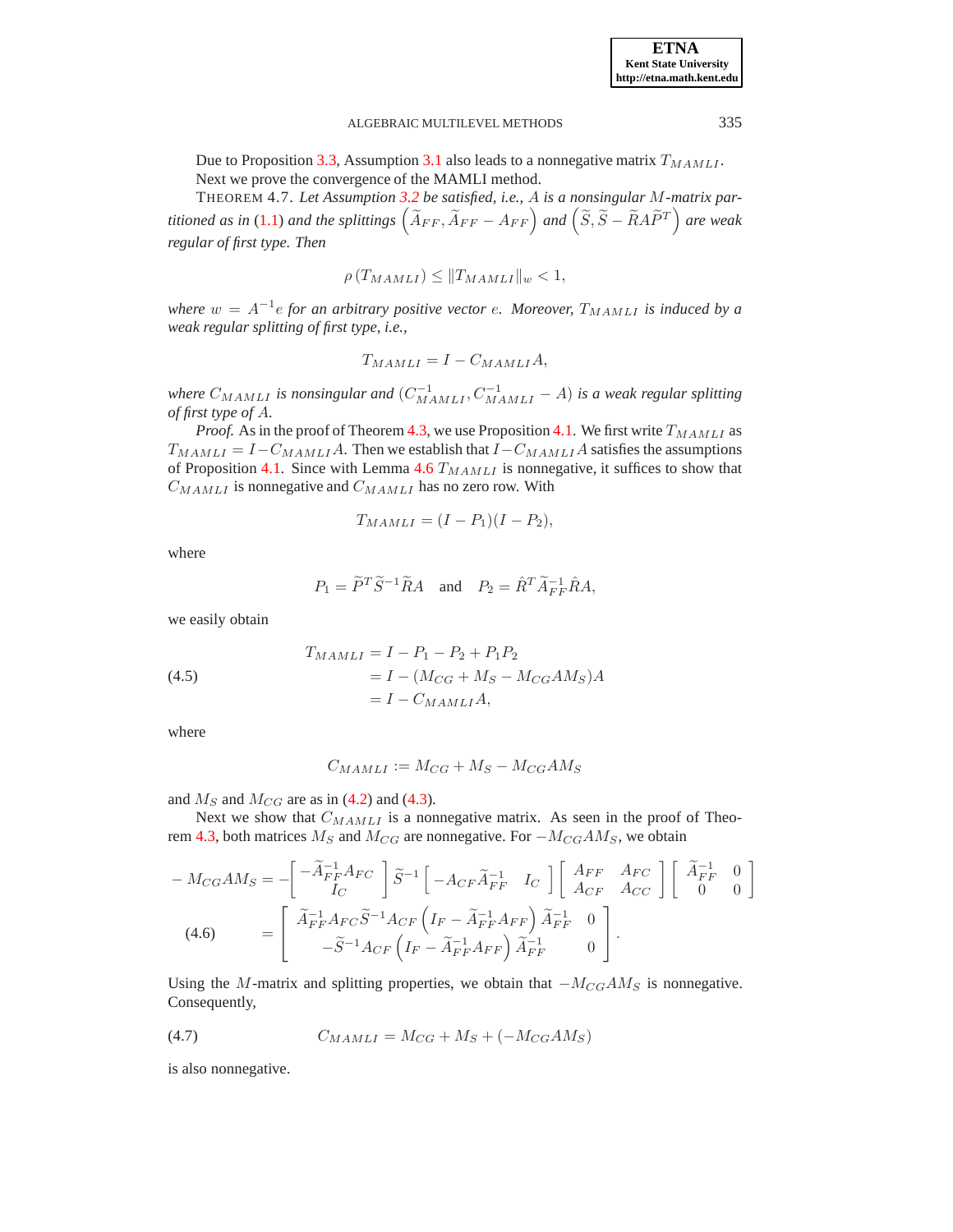Due to Proposition [3.3,](#page-6-1) Assumption [3.1](#page-5-1) also leads to a nonnegative matrix  $T_{MAMLI}$ . Next we prove the convergence of the MAMLI method.

<span id="page-12-1"></span>THEOREM 4.7. *Let Assumption [3.2](#page-5-2) be satisfied, i.e.,* A *is a nonsingular* M*-matrix partitioned as in* [\(1.1\)](#page-1-2) *and the splittings*  $(\widetilde{A}_{FF}, \widetilde{A}_{FF} - A_{FF})$  *and*  $(\widetilde{S}, \widetilde{S} - \widetilde{R}A\widetilde{P}^T)$  *are weak regular of first type. Then*

$$
\rho(T_{MAMLI}) \leq ||T_{MAMLI}||_w < 1,
$$

*where*  $w = A^{-1}e$  for an arbitrary positive vector e. Moreover,  $T_{MAML}$  is induced by a *weak regular splitting of first type, i.e.,*

$$
T_{MAMLI} = I - C_{MAMLI}A,
$$

where  $C_{MAMLI}$  is nonsingular and  $(C_{MAMLI}^{-1}, C_{MAMLI}^{-1} - A)$  is a weak regular splitting *of first type of* A*.*

*Proof.* As in the proof of Theorem [4.3,](#page-9-0) we use Proposition [4.1.](#page-7-2) We first write  $T_{MAML}$  as  $T_{MAMLI} = I - C_{MAMLI}A$ . Then we establish that  $I - C_{MAMLI}A$  satisfies the assumptions of Proposition [4.1.](#page-7-2) Since with Lemma [4.6](#page-11-0)  $T_{MAMLI}$  is nonnegative, it suffices to show that  $C_{MAMLI}$  is nonnegative and  $C_{MAMLI}$  has no zero row. With

$$
T_{MAMLI} = (I - P_1)(I - P_2),
$$

where

$$
P_1 = \widetilde{P}^T \widetilde{S}^{-1} \widetilde{R} A \quad \text{and} \quad P_2 = \widehat{R}^T \widetilde{A}^{-1}_{FF} \widehat{R} A,
$$

we easily obtain

<span id="page-12-2"></span>(4.5) 
$$
T_{MAMLI} = I - P_1 - P_2 + P_1P_2
$$

$$
= I - (M_{CG} + M_S - M_{CG}AM_S)A
$$

$$
= I - C_{MAMLI}A,
$$

where

$$
C_{MAMLI} := M_{CG} + M_S - M_{CG}AM_S
$$

and  $M_S$  and  $M_{CG}$  are as in [\(4.2\)](#page-9-1) and [\(4.3\)](#page-9-1).

Next we show that  $C_{MAML}$  is a nonnegative matrix. As seen in the proof of Theo-rem [4.3,](#page-9-0) both matrices  $M_S$  and  $M_{CG}$  are nonnegative. For  $-M_{CG}AM_S$ , we obtain

<span id="page-12-3"></span>
$$
-M_{CG}AM_S = -\left[\begin{array}{c}\tilde{A}_{FF}^{-1}A_{FC} \\
I_C\n\end{array}\right]\tilde{S}^{-1}\left[-A_{CF}\tilde{A}_{FF}^{-1}I_C\n\right]\left[\begin{array}{cc}A_{FF} & A_{FC} \\
A_{CF} & A_{CC}\n\end{array}\right]\left[\begin{array}{cc}\tilde{A}_{FF}^{-1} & 0 \\
0 & 0\n\end{array}\right]
$$
  
(4.6) 
$$
= \left[\begin{array}{cc}\tilde{A}_{FF}^{-1}A_{FC}\tilde{S}^{-1}A_{CF}\left(I_F - \tilde{A}_{FF}^{-1}A_{FF}\right)\tilde{A}_{FF}^{-1} & 0 \\
-\tilde{S}^{-1}A_{CF}\left(I_F - \tilde{A}_{FF}^{-1}A_{FF}\right)\tilde{A}_{FF}^{-1} & 0\n\end{array}\right].
$$

<span id="page-12-0"></span>Using the M-matrix and splitting properties, we obtain that  $-M_{CG}AM_S$  is nonnegative. Consequently,

$$
(4.7) \tC_{MAMLI} = M_{CG} + M_S + (-M_{CG}AM_S)
$$

is also nonnegative.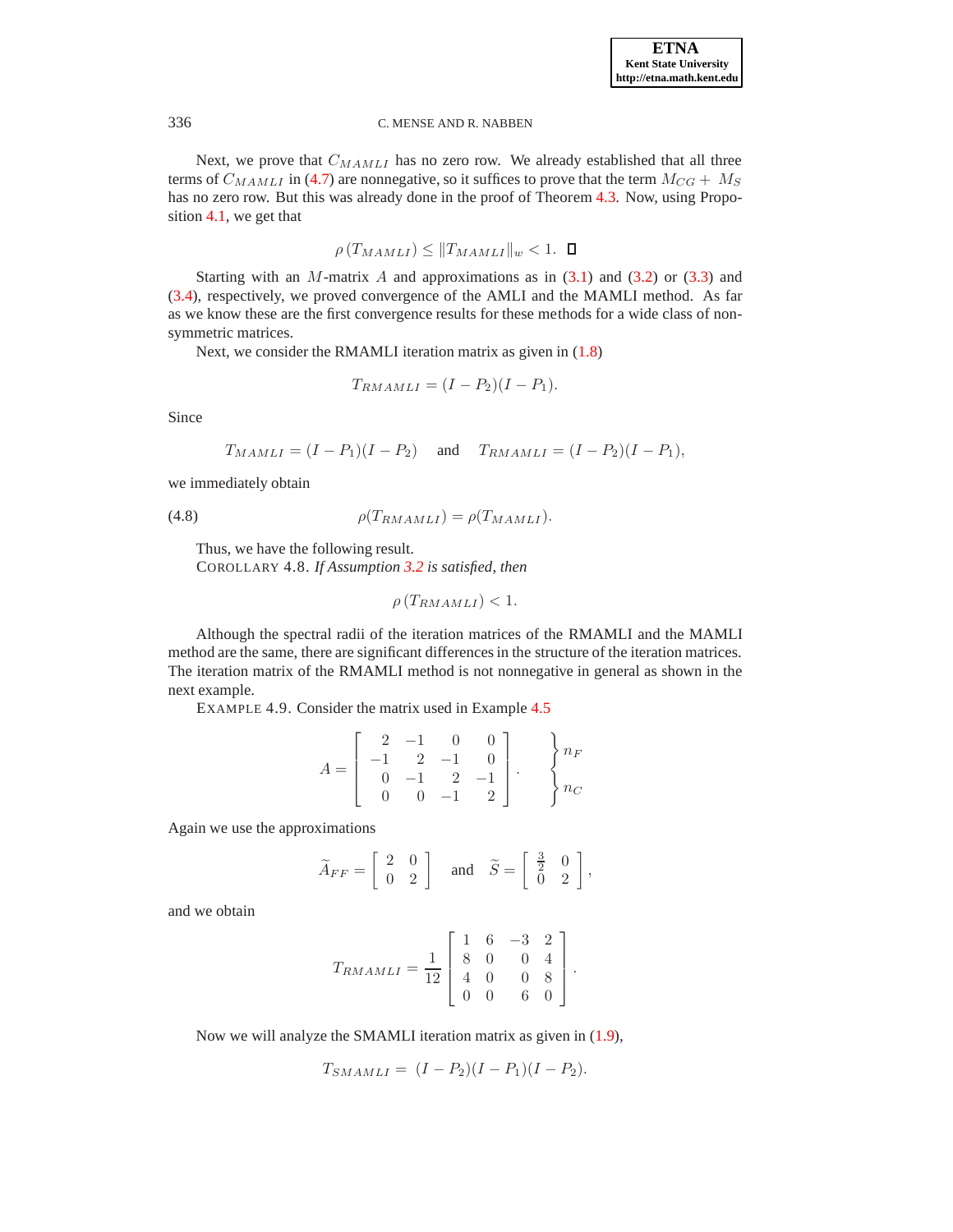Next, we prove that  $C_{MAMLI}$  has no zero row. We already established that all three terms of  $C_{MAMLI}$  in [\(4.7\)](#page-12-0) are nonnegative, so it suffices to prove that the term  $M_{CG} + M_S$ has no zero row. But this was already done in the proof of Theorem [4.3.](#page-9-0) Now, using Proposition [4.1,](#page-7-2) we get that

$$
\rho(T_{MAMLI}) \leq ||T_{MAMLI}||_w < 1. \quad \Box
$$

Starting with an M-matrix A and approximations as in  $(3.1)$  and  $(3.2)$  or  $(3.3)$  and [\(3.4\)](#page-6-0), respectively, we proved convergence of the AMLI and the MAMLI method. As far as we know these are the first convergence results for these methods for a wide class of nonsymmetric matrices.

Next, we consider the RMAMLI iteration matrix as given in  $(1.8)$ 

$$
T_{RMAMLI} = (I - P_2)(I - P_1).
$$

Since

$$
T_{MAMLI} = (I - P_1)(I - P_2)
$$
 and  $T_{RMAMLI} = (I - P_2)(I - P_1)$ ,

we immediately obtain

$$
\rho(T_{RMAMLI}) = \rho(T_{MAMLI}).
$$

Thus, we have the following result.

COROLLARY 4.8. *If Assumption [3.2](#page-5-2) is satisfied, then*

$$
\rho(T_{RMAMLI}) < 1.
$$

Although the spectral radii of the iteration matrices of the RMAMLI and the MAMLI method are the same, there are significant differences in the structure of the iteration matrices. The iteration matrix of the RMAMLI method is not nonnegative in general as shown in the next example.

EXAMPLE 4.9. Consider the matrix used in Example [4.5](#page-10-0)

$$
A = \begin{bmatrix} 2 & -1 & 0 & 0 \\ -1 & 2 & -1 & 0 \\ 0 & -1 & 2 & -1 \\ 0 & 0 & -1 & 2 \end{bmatrix} . \qquad \begin{cases} n_F \\ n_C \end{cases}
$$

Again we use the approximations

$$
\widetilde{A}_{FF} = \left[ \begin{array}{cc} 2 & 0 \\ 0 & 2 \end{array} \right] \quad \text{and} \quad \widetilde{S} = \left[ \begin{array}{cc} \frac{3}{2} & 0 \\ 0 & 2 \end{array} \right],
$$

and we obtain

$$
T_{RAMLI} = \frac{1}{12} \left[ \begin{array}{rrrr} 1 & 6 & -3 & 2 \\ 8 & 0 & 0 & 4 \\ 4 & 0 & 0 & 8 \\ 0 & 0 & 6 & 0 \end{array} \right].
$$

Now we will analyze the SMAMLI iteration matrix as given in [\(1.9\)](#page-2-3),

$$
T_{SMAMLI} = (I - P_2)(I - P_1)(I - P_2).
$$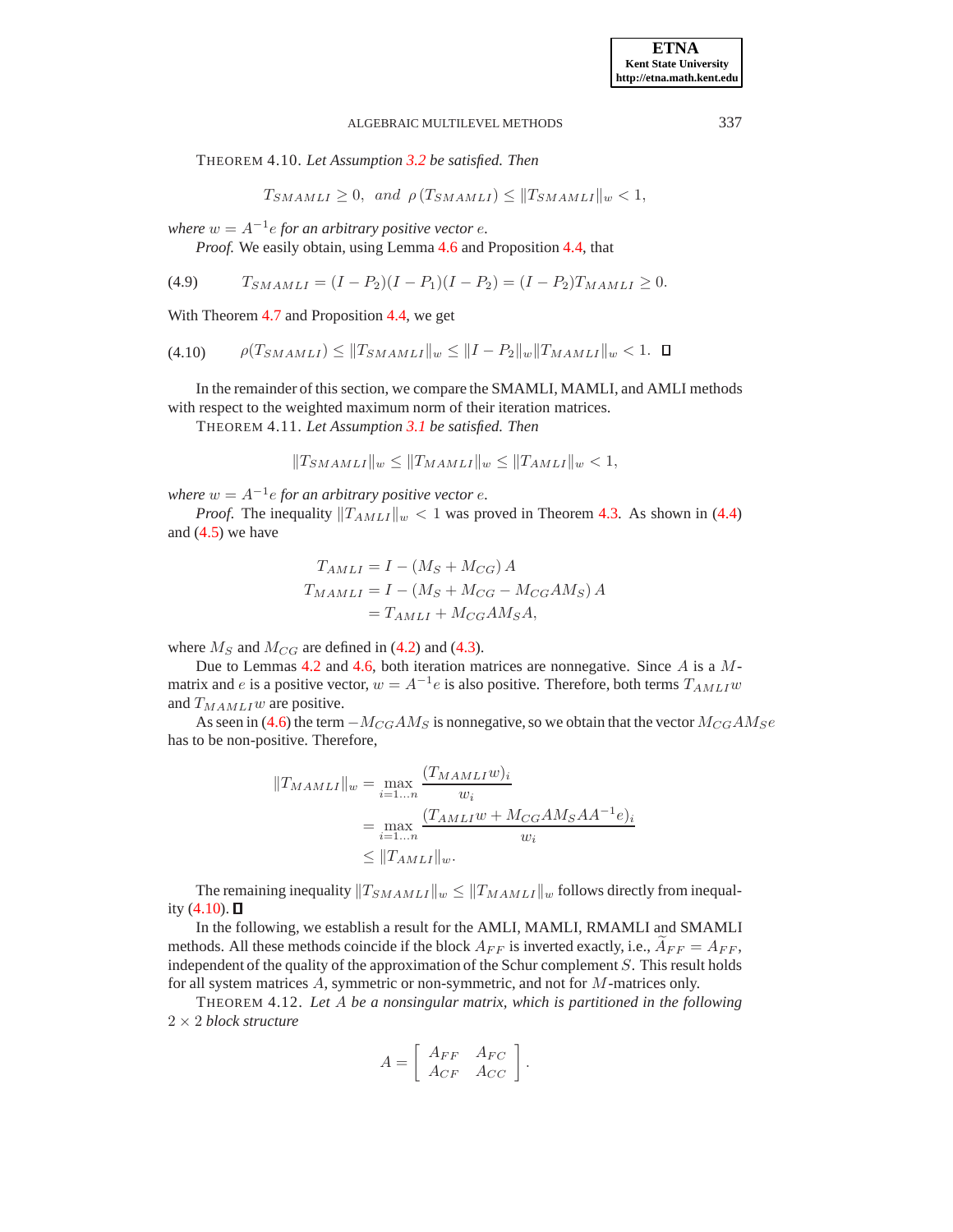THEOREM 4.10. *Let Assumption [3.2](#page-5-2) be satisfied. Then*

<span id="page-14-0"></span> $T_{SMAMLI} \geq 0$ , and  $\rho(T_{SMAMLI}) \leq ||T_{SMAMLI}||_w < 1$ ,

where  $w = A^{-1}e$  for an arbitrary positive vector  $e$ .

*Proof.* We easily obtain, using Lemma [4.6](#page-11-0) and Proposition [4.4,](#page-10-1) that

$$
(4.9) \tT_{SMAMLI} = (I - P_2)(I - P_1)(I - P_2) = (I - P_2)T_{MAMLI} \ge 0.
$$

With Theorem [4.7](#page-12-1) and Proposition [4.4,](#page-10-1) we get

$$
(4.10) \qquad \rho(T_{SMAMLI}) \leq \|T_{SMAMLI}\|_{w} \leq \|I - P_2\|_{w} \|T_{MAMLI}\|_{w} < 1. \quad \Box
$$

In the remainder of this section, we compare the SMAMLI, MAMLI, and AMLI methods with respect to the weighted maximum norm of their iteration matrices.

THEOREM 4.11. *Let Assumption [3.1](#page-5-1) be satisfied. Then*

$$
||T_{SMAMLI}||_{w} \le ||T_{MAMLI}||_{w} \le ||T_{AMLI}||_{w} < 1,
$$

where  $w = A^{-1}e$  for an arbitrary positive vector  $e$ .

*Proof.* The inequality  $||T_{AMLI}||_w < 1$  was proved in Theorem [4.3.](#page-9-0) As shown in [\(4.4\)](#page-9-2) and  $(4.5)$  we have

$$
T_{AMLI} = I - (M_S + M_{CG}) A
$$
  
\n
$$
T_{MAMLI} = I - (M_S + M_{CG} - M_{CG}AM_S) A
$$
  
\n
$$
= T_{AMLI} + M_{CG}AM_S A,
$$

where  $M<sub>S</sub>$  and  $M<sub>CG</sub>$  are defined in [\(4.2\)](#page-9-1) and [\(4.3\)](#page-9-1).

Due to Lemmas [4.2](#page-8-1) and [4.6,](#page-11-0) both iteration matrices are nonnegative. Since  $A$  is a  $M$ matrix and *e* is a positive vector,  $w = A^{-1}e$  is also positive. Therefore, both terms  $T_{AMLI}w$ and  $T_{MAMLI}$ *w* are positive.

As seen in [\(4.6\)](#page-12-3) the term  $-M_{CG}AM_S$  is nonnegative, so we obtain that the vector  $M_{CG}AM_S$ e has to be non-positive. Therefore,

$$
||T_{MAMLI}||_{w} = \max_{i=1...n} \frac{(T_{MAMLI}w)_{i}}{w_{i}}
$$
  
= 
$$
\max_{i=1...n} \frac{(T_{AMLI}w + M_{CGAMSAA^{-1}e})_{i}}{w_{i}}
$$
  
\$\leq ||T\_{AMLI}||\_{w}\$.

The remaining inequality  $||T_{SMAMLI}||_w \le ||T_{MAMLI}||_w$  follows directly from inequality  $(4.10)$ .  $\Box$ 

In the following, we establish a result for the AMLI, MAMLI, RMAMLI and SMAMLI methods. All these methods coincide if the block  $A_{FF}$  is inverted exactly, i.e.,  $A_{FF} = A_{FF}$ , independent of the quality of the approximation of the Schur complement  $S$ . This result holds for all system matrices A, symmetric or non-symmetric, and not for M-matrices only.

THEOREM 4.12. *Let* A *be a nonsingular matrix, which is partitioned in the following* 2 × 2 *block structure*

$$
A = \left[ \begin{array}{cc} A_{FF} & A_{FC} \\ A_{CF} & A_{CC} \end{array} \right].
$$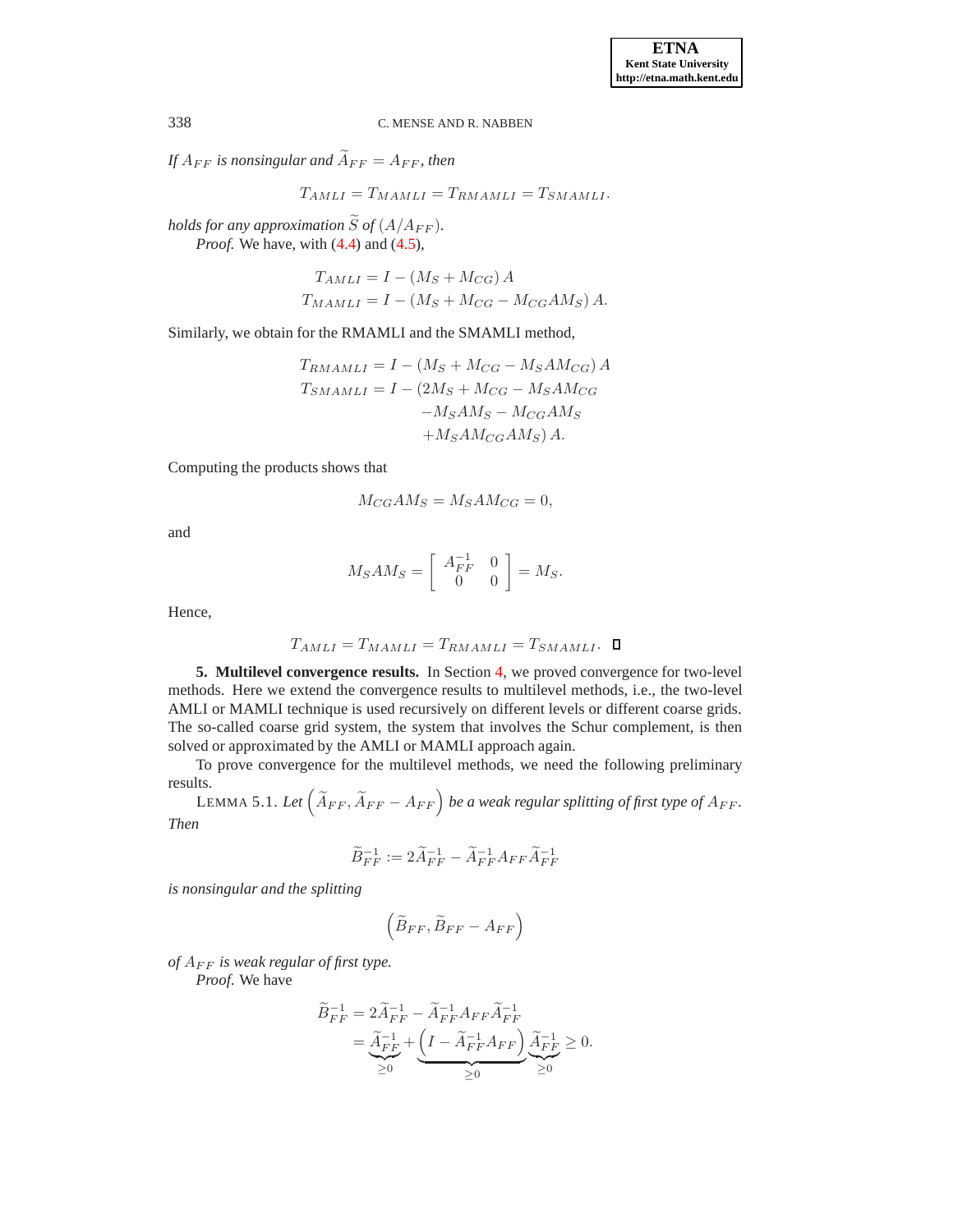*If*  $A_{FF}$  *is nonsingular and*  $\widetilde{A}_{FF} = A_{FF}$ *, then* 

$$
T_{AMLI} = T_{MAMLI} = T_{RMAMLI} = T_{SMAMLI}.
$$

*holds for any approximation*  $\widetilde{S}$  *of*  $(A/A_{FF})$ *. Proof.* We have, with [\(4.4\)](#page-9-2) and [\(4.5\)](#page-12-2),

$$
T_{AMLI} = I - (M_S + M_{CG}) A
$$
  

$$
T_{MAMLI} = I - (M_S + M_{CG} - M_{CG}AM_S) A.
$$

Similarly, we obtain for the RMAMLI and the SMAMLI method,

$$
T_{RMAMLI} = I - (M_S + M_{CG} - M_SAM_{CG}) A
$$
  
\n
$$
T_{SMAMLI} = I - (2M_S + M_{CG} - M_SAM_{CG} - M_SAM_S - M_{CGAM_S}) A
$$
  
\n
$$
+ M_SAM_{CGAM_S} A M_S A
$$

Computing the products shows that

$$
M_{CG}AM_S = M_SAM_{CG} = 0,
$$

and

$$
M_SAM_S = \left[ \begin{array}{cc} A_{FF}^{-1} & 0 \\ 0 & 0 \end{array} \right] = M_S.
$$

Hence,

$$
T_{AMLI} = T_{MAMLI} = T_{RMAMLI} = T_{SMAMLI}.
$$

<span id="page-15-0"></span>**5. Multilevel convergence results.** In Section [4,](#page-7-0) we proved convergence for two-level methods. Here we extend the convergence results to multilevel methods, i.e., the two-level AMLI or MAMLI technique is used recursively on different levels or different coarse grids. The so-called coarse grid system, the system that involves the Schur complement, is then solved or approximated by the AMLI or MAMLI approach again.

To prove convergence for the multilevel methods, we need the following preliminary results.

<span id="page-15-1"></span>LEMMA 5.1. Let  $\left(\widetilde{A}_{FF}, \widetilde{A}_{FF} - A_{FF}\right)$  be a weak regular splitting of first type of  $A_{FF}$ . *Then*

$$
\widetilde{B}_{FF}^{-1}:=2\widetilde{A}_{FF}^{-1}-\widetilde{A}_{FF}^{-1}A_{FF}\widetilde{A}_{FF}^{-1}
$$

*is nonsingular and the splitting*

$$
\left(\widetilde{B}_{FF}, \widetilde{B}_{FF} - A_{FF}\right)
$$

*of* AFF *is weak regular of first type.*

*Proof*. We have

$$
\begin{aligned} \widetilde{B}^{-1}_{FF} &= 2\widetilde{A}^{-1}_{FF} - \widetilde{A}^{-1}_{FF}A_{FF}\widetilde{A}^{-1}_{FF} \\ &= \underbrace{\widetilde{A}^{-1}_{FF}}_{\geq 0} + \underbrace{\left(I - \widetilde{A}^{-1}_{FF}A_{FF}\right)}_{\geq 0}\widetilde{A}^{-1}_{FF} \geq 0. \end{aligned}
$$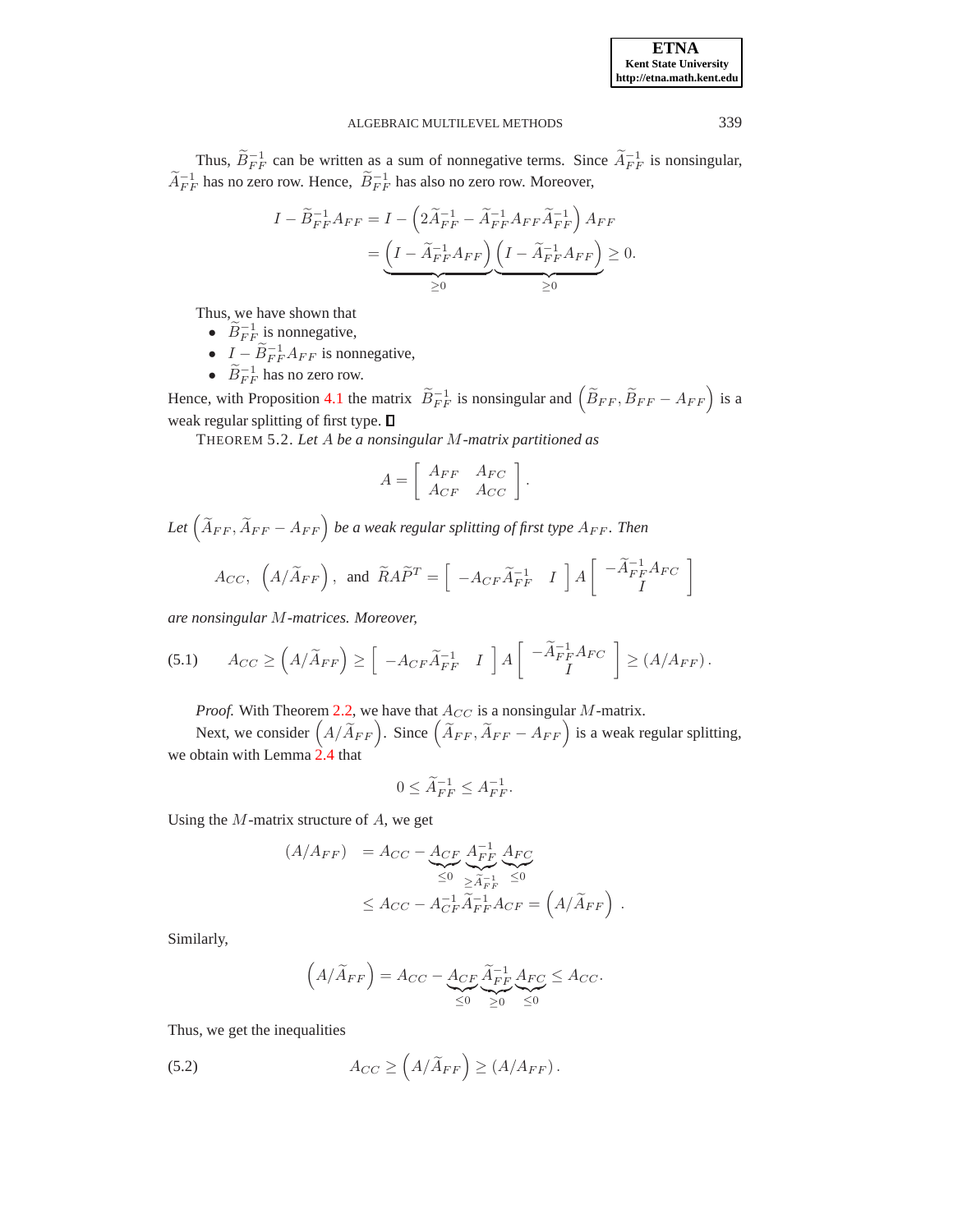

Thus,  $\widetilde{B}_{FF}^{-1}$  can be written as a sum of nonnegative terms. Since  $\widetilde{A}_{FF}^{-1}$  is nonsingular,  $\widetilde{A}_{FF}^{-1}$  has no zero row. Hence,  $\widetilde{B}_{FF}^{-1}$  has also no zero row. Moreover,

$$
I - \widetilde{B}_{FF}^{-1}A_{FF} = I - \left(2\widetilde{A}_{FF}^{-1} - \widetilde{A}_{FF}^{-1}A_{FF}\widetilde{A}_{FF}^{-1}\right)A_{FF}
$$
  
= 
$$
\underbrace{\left(I - \widetilde{A}_{FF}^{-1}A_{FF}\right)\left(I - \widetilde{A}_{FF}^{-1}A_{FF}\right)}_{\geq 0} \geq 0.
$$

Thus, we have shown that

- $\widetilde{B}_{FF}^{-1}$  is nonnegative,
- $I \widetilde{B}^{-1}_{FF}A_{FF}$  is nonnegative,
- $\widetilde{B}_{FF}^{-1}$  has no zero row.

<span id="page-16-0"></span>Hence, with Proposition [4.1](#page-7-2) the matrix  $\tilde{B}_{FF}^{-1}$  is nonsingular and  $(\tilde{B}_{FF}, \tilde{B}_{FF} - A_{FF})$  is a weak regular splitting of first type.  $\square$ 

THEOREM 5.2. *Let* A *be a nonsingular* M*-matrix partitioned as*

$$
A = \left[ \begin{array}{cc} A_{FF} & A_{FC} \\ A_{CF} & A_{CC} \end{array} \right]
$$

.

Let  $\left(\widetilde{A}_{FF}, \widetilde{A}_{FF} - A_{FF}\right)$  be a weak regular splitting of first type  $A_{FF}$ . Then

<span id="page-16-1"></span>
$$
A_{CC}, \left(A/\widetilde{A}_{FF}\right), \text{ and } \widetilde{R}A\widetilde{P}^T = \left[\begin{array}{cc} -A_{CF}\widetilde{A}_{FF}^{-1} & I \end{array}\right]A\left[\begin{array}{cc} -\widetilde{A}_{FF}^{-1}A_{FC} \\ I \end{array}\right]
$$

*are nonsingular* M*-matrices. Moreover,*

$$
(5.1) \qquad A_{CC} \geq \left(A/\widetilde{A}_{FF}\right) \geq \left[ \begin{array}{cc} -A_{CF}\widetilde{A}_{FF}^{-1} & I \end{array} \right] A \left[ \begin{array}{c} -\widetilde{A}_{FF}^{-1}A_{FC} \\ I \end{array} \right] \geq \left(A/A_{FF}\right).
$$

*Proof.* With Theorem [2.2,](#page-4-2) we have that  $A_{CC}$  is a nonsingular M-matrix.

Next, we consider  $(A/\widetilde{A}_{FF})$ . Since  $(\widetilde{A}_{FF}, \widetilde{A}_{FF} - A_{FF})$  is a weak regular splitting, we obtain with Lemma  $\hat{2.4}$  $\hat{2.4}$  $\hat{2.4}$  that

$$
0 \le \widetilde{A}^{-1}_{FF} \le A^{-1}_{FF}.
$$

Using the  $M$ -matrix structure of  $A$ , we get

$$
(A/A_{FF}) = A_{CC} - A_{CF} A_{FF}^{-1} A_{FC}
$$
  
\n
$$
\leq A_{CC} - A_{CF}^{-1} \widetilde{A}_{FF}^{-1} A_{CF} = (A/\widetilde{A}_{FF}).
$$
  
\n
$$
\leq A_{CC} - A_{CF}^{-1} \widetilde{A}_{FF}^{-1} A_{CF} = (A/\widetilde{A}_{FF}).
$$

Similarly,

$$
\left(A/\widetilde{A}_{FF}\right) = A_{CC} - \underbrace{A_{CF}}_{\leq 0} \underbrace{\widetilde{A}_{FF}^{-1}}_{\geq 0} \underbrace{A_{FC}}_{\leq 0} \leq A_{CC}.
$$

<span id="page-16-2"></span>Thus, we get the inequalities

(5.2) 
$$
A_{CC} \geq \left(A/\widetilde{A}_{FF}\right) \geq \left(A/A_{FF}\right).
$$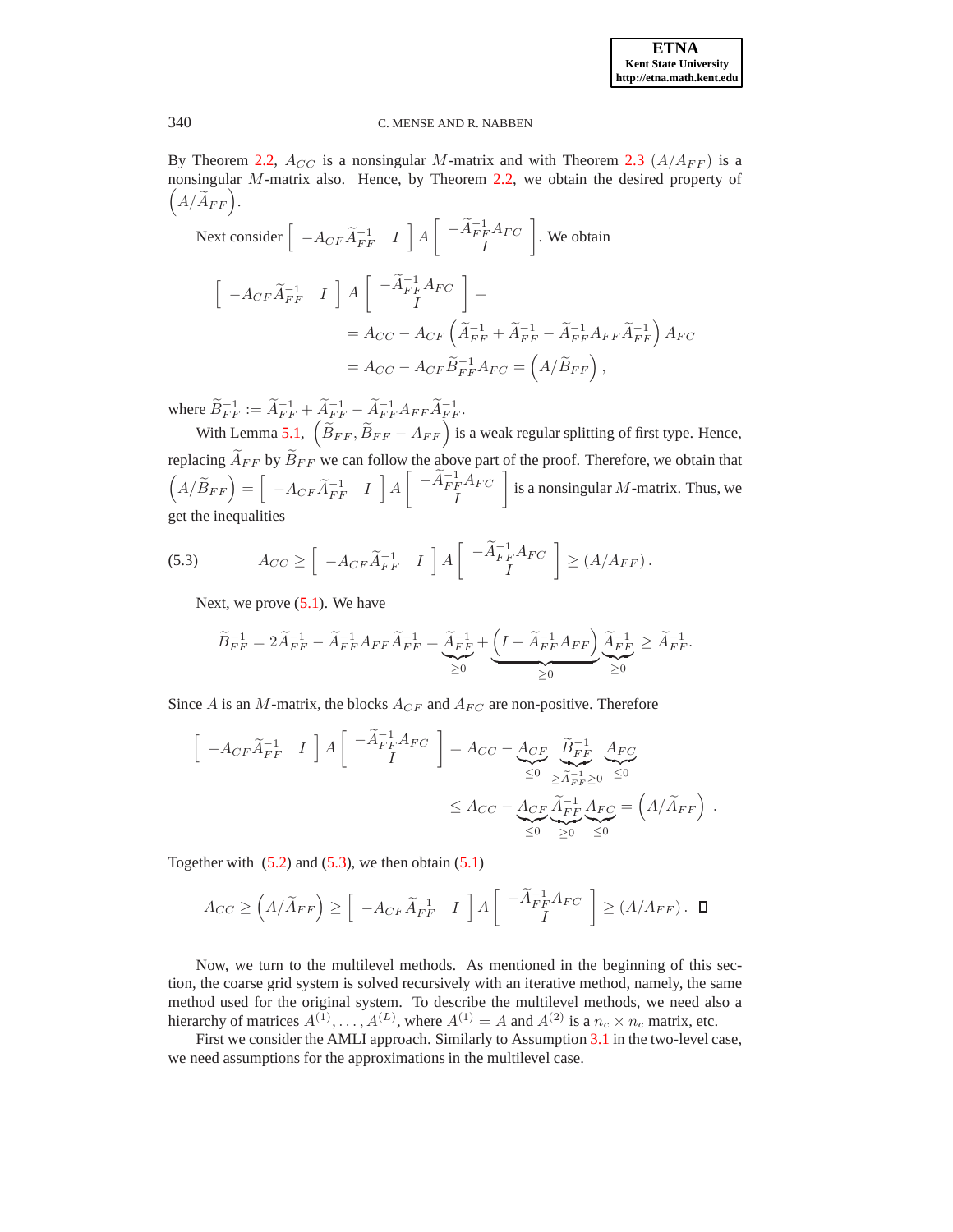By Theorem [2.2,](#page-4-2)  $A_{CC}$  is a nonsingular M-matrix and with Theorem [2.3](#page-4-3)  $(A/A_{FF})$  is a nonsingular M-matrix also. Hence, by Theorem [2.2,](#page-4-2) we obtain the desired property of  $(A/\widetilde{A}_{FF}).$ 

Next consider 
$$
\begin{bmatrix} -A_{CF}\tilde{A}_{FF}^{-1} & I \end{bmatrix} A \begin{bmatrix} -\tilde{A}_{FF}^{-1}A_{FC} \\ I \end{bmatrix}
$$
. We obtain  
\n
$$
\begin{bmatrix} -A_{CF}\tilde{A}_{FF}^{-1} & I \end{bmatrix} A \begin{bmatrix} -\tilde{A}_{FF}^{-1}A_{FC} \\ I \end{bmatrix} =
$$
\n
$$
= A_{CC} - A_{CF} \left( \tilde{A}_{FF}^{-1} + \tilde{A}_{FF}^{-1} - \tilde{A}_{FF}^{-1}A_{FF}\tilde{A}_{FF}^{-1} \right) A_{FC}
$$
\n
$$
= A_{CC} - A_{CF}\tilde{B}_{FF}^{-1}A_{FC} = \left( A/\tilde{B}_{FF} \right),
$$

where  $\widetilde{B}^{-1}_{FF} := \widetilde{A}^{-1}_{FF} + \widetilde{A}^{-1}_{FF} - \widetilde{A}^{-1}_{FF} A_{FF} \widetilde{A}^{-1}_{FF}.$ 

With Lemma [5.1,](#page-15-1)  $(\hat{\vec{B}}_{FF}, \hat{\vec{B}}_{FF} - A_{FF})$  is a weak regular splitting of first type. Hence, replacing  $\widetilde{A}_{FF}$  by  $\widetilde{B}_{FF}$  we can follow the above part of the proof. Therefore, we obtain that  $\left(A/\widetilde{B}_{FF}\right)=\left[\begin{array}{cc} -A_{CF}\widetilde{A}_{FF}^{-1} & I \end{array}\right]A$  $\begin{bmatrix} -\widetilde{A}^{-1}_{FF}A_{FC} \end{bmatrix}$ I 1 is a nonsingular  $M$ -matrix. Thus, we get the inequalities

<span id="page-17-0"></span>(5.3) 
$$
A_{CC} \geq \left[ -A_{CF} \widetilde{A}_{FF}^{-1} \quad I \right] A \left[ \begin{array}{c} -\widetilde{A}_{FF}^{-1} A_{FC} \\ I \end{array} \right] \geq (A/A_{FF}).
$$

Next, we prove [\(5.1\)](#page-16-1). We have

$$
\widetilde{B}_{FF}^{-1} = 2 \widetilde{A}_{FF}^{-1} - \widetilde{A}_{FF}^{-1} A_{FF} \widetilde{A}_{FF}^{-1} = \underbrace{\widetilde{A}_{FF}^{-1}}_{\geq 0} + \underbrace{\left(I - \widetilde{A}_{FF}^{-1} A_{FF}\right)}_{\geq 0} \underbrace{\widetilde{A}_{FF}^{-1}}_{\geq 0} \geq \widetilde{A}_{FF}^{-1}.
$$

Since A is an M-matrix, the blocks  $A_{CF}$  and  $A_{FC}$  are non-positive. Therefore

$$
\begin{bmatrix}\n-A_{CF}\widetilde{A}_{FF}^{-1} & I\n\end{bmatrix} A \begin{bmatrix}\n-\widetilde{A}_{FF}^{-1}A_{FC} \\
I\n\end{bmatrix} = A_{CC} - \underbrace{A_{CF}}_{\leq 0} \underbrace{\widetilde{B}_{FF}^{-1}}_{\geq \widetilde{A}_{FF}^{-1} \geq 0} \underbrace{A_{FC}}_{\leq 0}
$$
\n
$$
\leq A_{CC} - \underbrace{A_{CF}}_{\leq 0} \underbrace{\widetilde{A}_{FF}^{-1}}_{\geq 0} \underbrace{A_{FC}}_{\leq 0} = \left(A/\widetilde{A}_{FF}\right).
$$

Together with  $(5.2)$  and  $(5.3)$ , we then obtain  $(5.1)$ 

$$
A_{CC} \ge \left(A/\widetilde{A}_{FF}\right) \ge \left[ \begin{array}{cc} -A_{CF}\widetilde{A}_{FF}^{-1} & I \end{array} \right] A \left[ \begin{array}{c} -\widetilde{A}_{FF}^{-1}A_{FC} \\ I \end{array} \right] \ge \left(A/A_{FF}\right). \quad \Box
$$

Now, we turn to the multilevel methods. As mentioned in the beginning of this section, the coarse grid system is solved recursively with an iterative method, namely, the same method used for the original system. To describe the multilevel methods, we need also a hierarchy of matrices  $A^{(1)}, \ldots, A^{(L)}$ , where  $A^{(1)} = A$  and  $A^{(2)}$  is a  $n_c \times n_c$  matrix, etc.

First we consider the AMLI approach. Similarly to Assumption [3.1](#page-5-1) in the two-level case, we need assumptions for the approximations in the multilevel case.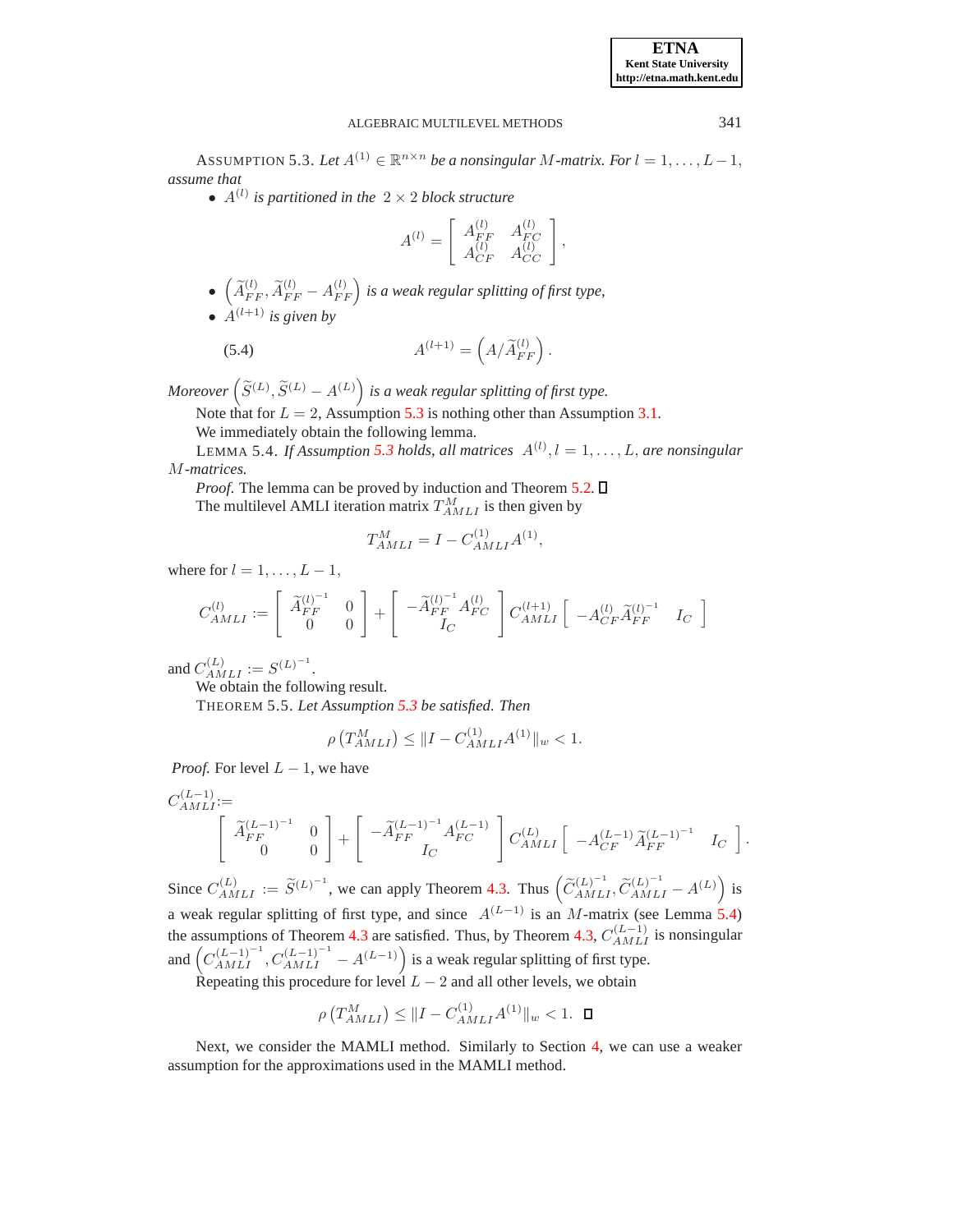<span id="page-18-0"></span>ASSUMPTION 5.3. Let  $A^{(1)} \in \mathbb{R}^{n \times n}$  be a nonsingular M-matrix. For  $l = 1, \ldots, L-1$ , *assume that*

•  $A^{(l)}$  is partitioned in the  $2 \times 2$  block structure

$$
A^{(l)} = \left[ \begin{array}{cc} A_{FF}^{(l)} & A_{FC}^{(l)} \\ A_{CF}^{(l)} & A_{CC}^{(l)} \end{array} \right],
$$

- $\left(\widetilde{A}_{FF}^{(l)},\widetilde{A}_{FF}^{(l)}-A_{FF}^{(l)}\right)$  is a weak regular splitting of first type,
- <span id="page-18-3"></span>•  $A^{(l+1)}$  *is given by*

$$
5.4)
$$

(5.4) 
$$
A^{(l+1)} = \left(A/\widetilde{A}_{FF}^{(l)}\right).
$$

*Moreover*  $(\widetilde{S}^{(L)}, \widetilde{S}^{(L)} - A^{(L)})$  is a weak regular splitting of first type.

Note that for  $L = 2$ , Assumption [5.3](#page-18-0) is nothing other than Assumption [3.1.](#page-5-1) We immediately obtain the following lemma.

LEMMA 5.4. If Assumption [5.3](#page-18-0) holds, all matrices  $A^{(l)}$ ,  $l = 1, \ldots, L$ , are nonsingular M*-matrices.*

*Proof.* The lemma can be proved by induction and Theorem [5.2.](#page-16-0)  $\square$ The multilevel AMLI iteration matrix  $T_{AMLI}^{M}$  is then given by

<span id="page-18-1"></span>
$$
T_{AMLI}^{M} = I - C_{AMLI}^{(1)} A^{(1)},
$$

where for  $l = 1, \ldots, L - 1$ ,

$$
C^{(l)}_{AMLI} := \left[ \begin{array}{cc} \widetilde{A}^{(l)^{-1}}_{FF} & 0 \\ 0 & 0 \end{array} \right] + \left[ \begin{array}{cc} -\widetilde{A}^{(l)^{-1}}_{FF} A^{(l)}_{FC} \\ I_C \end{array} \right] C^{(l+1)}_{AMLI} \left[ \begin{array}{cc} -A^{(l)}_{CF} \widetilde{A}^{(l)^{-1}}_{FF} & I_C \end{array} \right]
$$

<span id="page-18-2"></span>and  $C_{AMLI}^{(L)} := S^{(L)^{-1}}$ .

We obtain the following result.

THEOREM 5.5. *Let Assumption [5.3](#page-18-0) be satisfied. Then*

$$
\rho\left(T_{AMLI}^{M}\right) \leq \|I - C_{AMLI}^{(1)}A^{(1)}\|_{w} < 1.
$$

*Proof.* For level  $L - 1$ , we have

$$
C_{AMLI}^{(L-1)}:=\begin{bmatrix} \widetilde{A}_{FF}^{(L-1)-1} & 0\\ 0 & 0 \end{bmatrix} + \begin{bmatrix} -\widetilde{A}_{FF}^{(L-1)-1}A_{FC}^{(L-1)} \\ I_C \end{bmatrix} C_{AMLI}^{(L)} \begin{bmatrix} -A_{CF}^{(L-1)}\widetilde{A}_{FF}^{(L-1)-1} & I_C \end{bmatrix}.
$$

Since  $C_{AMLI}^{(L)} := \widetilde{S}^{(L)^{-1}}$ , we can apply Theorem [4.3.](#page-9-0) Thus  $(\widetilde{C}_{AMLI}^{(L)^{-1}}, \widetilde{C}_{AMLI}^{(L)^{-1}} - A^{(L)})$  is a weak regular splitting of first type, and since  $A^{(L-1)}$  is an M-matrix (see Lemma [5.4\)](#page-18-1) the assumptions of Theorem [4.3](#page-9-0) are satisfied. Thus, by Theorem [4.3,](#page-9-0)  $C_{AMLI}^{(L-1)}$  is nonsingular and  $\left(C_{AMLI}^{(L-1)^{-1}}, C_{AMLI}^{(L-1)^{-1}} - A^{(L-1)}\right)$  is a weak regular splitting of first type.

Repeating this procedure for level  $L - 2$  and all other levels, we obtain

$$
\rho\left(T_{AMLI}^{M}\right) \leq \|I - C_{AMLI}^{(1)}A^{(1)}\|_{w} < 1. \quad \Box
$$

Next, we consider the MAMLI method. Similarly to Section [4,](#page-7-0) we can use a weaker assumption for the approximations used in the MAMLI method.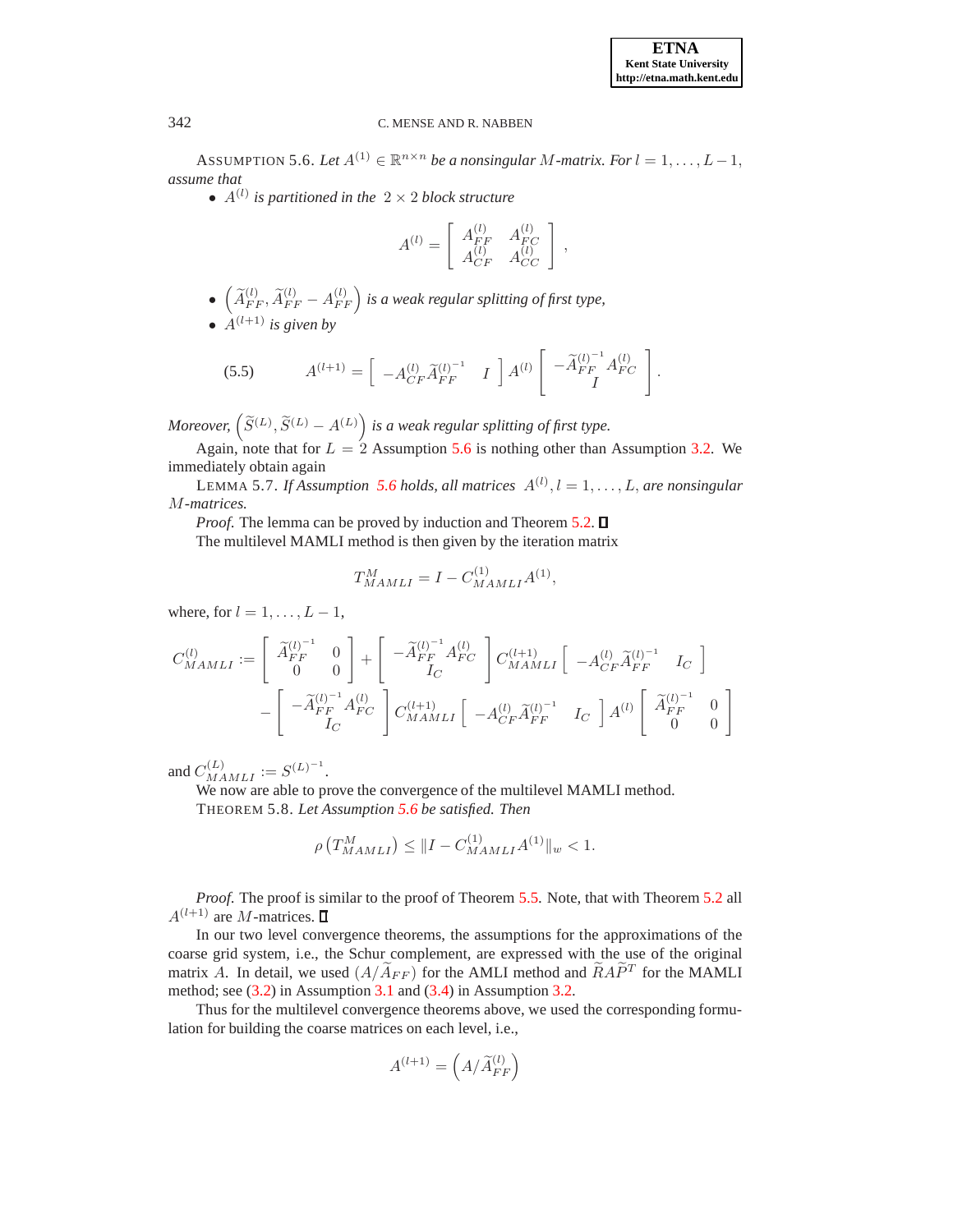<span id="page-19-0"></span>ASSUMPTION 5.6. Let  $A^{(1)} \in \mathbb{R}^{n \times n}$  be a nonsingular M-matrix. For  $l = 1, \ldots, L-1$ , *assume that*

•  $A^{(l)}$  is partitioned in the  $2 \times 2$  block structure

$$
A^{(l)} = \left[ \begin{array}{cc} A_{FF}^{(l)} & A_{FC}^{(l)} \\ A_{CF}^{(l)} & A_{CC}^{(l)} \end{array} \right] \; ,
$$

- $\left(\widetilde{A}_{FF}^{(l)},\widetilde{A}_{FF}^{(l)}-A_{FF}^{(l)}\right)$  is a weak regular splitting of first type,
- <span id="page-19-1"></span>•  $A^{(l+1)}$  *is given by*

(5.5) 
$$
A^{(l+1)} = \begin{bmatrix} -A_{CF}^{(l)} \tilde{A}_{FF}^{(l)^{-1}} & I \end{bmatrix} A^{(l)} \begin{bmatrix} -\tilde{A}_{FF}^{(l)^{-1}} A_{FC}^{(l)} \\ I \end{bmatrix}.
$$

*Moreover,*  $(\widetilde{S}^{(L)}, \widetilde{S}^{(L)} - A^{(L)})$  is a weak regular splitting of first type.

Again, note that for  $L = 2$  Assumption [5.6](#page-19-0) is nothing other than Assumption [3.2.](#page-5-2) We immediately obtain again

LEMMA 5.7. If Assumption [5.6](#page-19-0) holds, all matrices  $A^{(l)}$ ,  $l = 1, \ldots, L$ , are nonsingular M*-matrices.*

*Proof.* The lemma can be proved by induction and Theorem [5.2.](#page-16-0)  $\square$ 

The multilevel MAMLI method is then given by the iteration matrix

$$
T_{MAMLI}^{M} = I - C_{MAMLI}^{(1)} A^{(1)},
$$

where, for  $l = 1, \ldots, L - 1$ ,

$$
C_{MAMLI}^{(l)} := \begin{bmatrix} \tilde{A}_{FF}^{(l)^{-1}} & 0 \\ 0 & 0 \end{bmatrix} + \begin{bmatrix} -\tilde{A}_{FF}^{(l)^{-1}} A_{FC}^{(l)} \\ I_C \end{bmatrix} C_{MAMLI}^{(l+1)} \begin{bmatrix} -A_{CF}^{(l)} \tilde{A}_{FF}^{(l)^{-1}} & I_C \end{bmatrix} - \begin{bmatrix} -\tilde{A}_{FF}^{(l)^{-1}} A_{FC}^{(l)} \\ I_C \end{bmatrix} C_{MAMLI}^{(l+1)} \begin{bmatrix} -A_{CF}^{(l)} \tilde{A}_{FF}^{(l)^{-1}} & I_C \end{bmatrix} A^{(l)} \begin{bmatrix} \tilde{A}_{FF}^{(l)^{-1}} & 0 \\ 0 & 0 \end{bmatrix}
$$

and  $C_{MAMLI}^{(L)} := S^{(L)^{-1}}$ .

We now are able to prove the convergence of the multilevel MAMLI method. THEOREM 5.8. *Let Assumption [5.6](#page-19-0) be satisfied. Then*

$$
\rho\left(T_{MAMLI}^M\right) \leq \|I - C_{MAMLI}^{(1)}A^{(1)}\|_{w} < 1.
$$

*Proof*. The proof is similar to the proof of Theorem [5.5.](#page-18-2) Note, that with Theorem [5.2](#page-16-0) all  $A^{(l+1)}$  are M-matrices.  $\square$ 

In our two level convergence theorems, the assumptions for the approximations of the coarse grid system, i.e., the Schur complement, are expressed with the use of the original matrix A. In detail, we used  $(A/\tilde{A}_{FF})$  for the AMLI method and  $\tilde{R}\tilde{A}\tilde{P}^T$  for the MAMLI method; see [\(3.2\)](#page-5-4) in Assumption [3.1](#page-5-1) and [\(3.4\)](#page-6-0) in Assumption [3.2.](#page-5-2)

Thus for the multilevel convergence theorems above, we used the corresponding formulation for building the coarse matrices on each level, i.e.,

$$
A^{(l+1)} = \left(A/\widetilde{A}_{FF}^{(l)}\right)
$$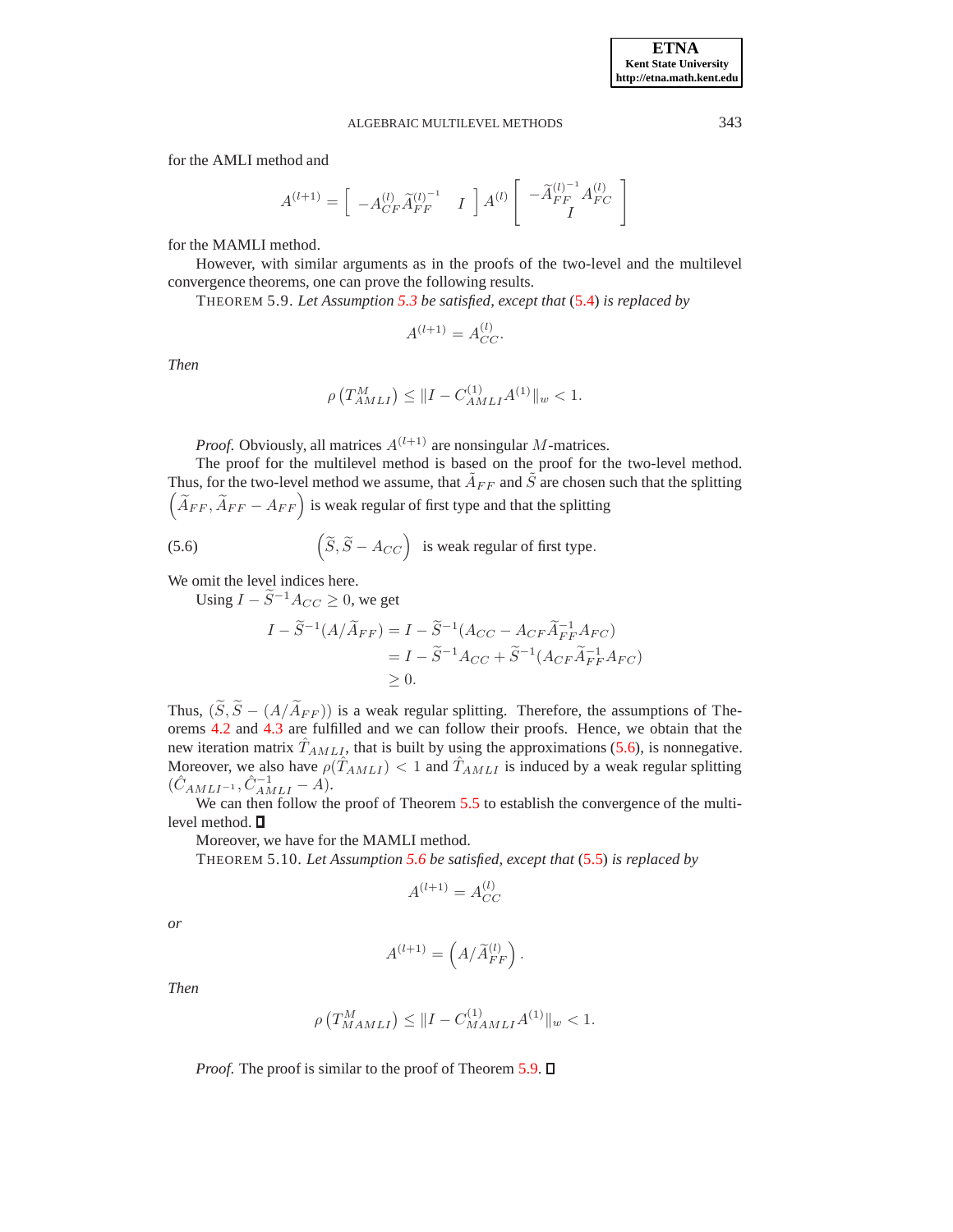for the AMLI method and

$$
A^{(l+1)} = \begin{bmatrix} -A_{CF}^{(l)} \widetilde{A}_{FF}^{(l)^{-1}} & I \end{bmatrix} A^{(l)} \begin{bmatrix} -\widetilde{A}_{FF}^{(l)^{-1}} A_{FC}^{(l)} \\ I \end{bmatrix}
$$

for the MAMLI method.

<span id="page-20-1"></span>However, with similar arguments as in the proofs of the two-level and the multilevel convergence theorems, one can prove the following results.

THEOREM 5.9. *Let Assumption [5.3](#page-18-0) be satisfied, except that* [\(5.4\)](#page-18-3) *is replaced by*

$$
A^{(l+1)} = A_{CC}^{(l)}.
$$

*Then*

$$
\rho\left(T_{AMLI}^M\right) \le \|I - C_{AMLI}^{(1)}A^{(1)}\|_w < 1.
$$

*Proof.* Obviously, all matrices  $A^{(l+1)}$  are nonsingular M-matrices.

The proof for the multilevel method is based on the proof for the two-level method. Thus, for the two-level method we assume, that  $\tilde{A}_{FF}$  and  $\tilde{S}$  are chosen such that the splitting  $(\widetilde{A}_{FF}, \widetilde{A}_{FF} - A_{FF})$  is weak regular of first type and that the splitting

<span id="page-20-0"></span>(5.6) 
$$
\left(\widetilde{S}, \widetilde{S} - A_{CC}\right)
$$
 is weak regular of first type.

We omit the level indices here.

Using  $I - \tilde{S}^{-1} A_{CC} \geq 0$ , we get

$$
I - \tilde{S}^{-1}(A/\tilde{A}_{FF}) = I - \tilde{S}^{-1}(A_{CC} - A_{CF}\tilde{A}_{FF}^{-1}A_{FC})
$$
  
=  $I - \tilde{S}^{-1}A_{CC} + \tilde{S}^{-1}(A_{CF}\tilde{A}_{FF}^{-1}A_{FC})$   
 $\geq 0.$ 

Thus,  $(\widetilde{S}, \widetilde{S} - (A/\widetilde{A}_{FF}))$  is a weak regular splitting. Therefore, the assumptions of Theorems [4.2](#page-8-1) and [4.3](#page-9-0) are fulfilled and we can follow their proofs. Hence, we obtain that the new iteration matrix  $\hat{T}_{AMLI}$ , that is built by using the approximations [\(5.6\)](#page-20-0), is nonnegative. Moreover, we also have  $\rho(\hat{T}_{AMLI}) < 1$  and  $\hat{T}_{AMLI}$  is induced by a weak regular splitting  $(\hat{C}_{AMLI^{-1}}, \hat{C}_{AMLI}^{-1} - A).$ 

We can then follow the proof of Theorem [5.5](#page-18-2) to establish the convergence of the multilevel method.

Moreover, we have for the MAMLI method.

THEOREM 5.10. *Let Assumption [5.6](#page-19-0) be satisfied, except that* [\(5.5\)](#page-19-1) *is replaced by*

$$
A^{(l+1)} = A_{CC}^{(l)}
$$

*or*

$$
A^{(l+1)} = \left(A/\widetilde{A}_{FF}^{(l)}\right).
$$

*Then*

$$
\rho\left(T_{MAMLI}^M\right) \le \|I - C_{MAMLI}^{(1)}A^{(1)}\|_{w} < 1.
$$

*Proof.* The proof is similar to the proof of Theorem [5.9.](#page-20-1)  $\Box$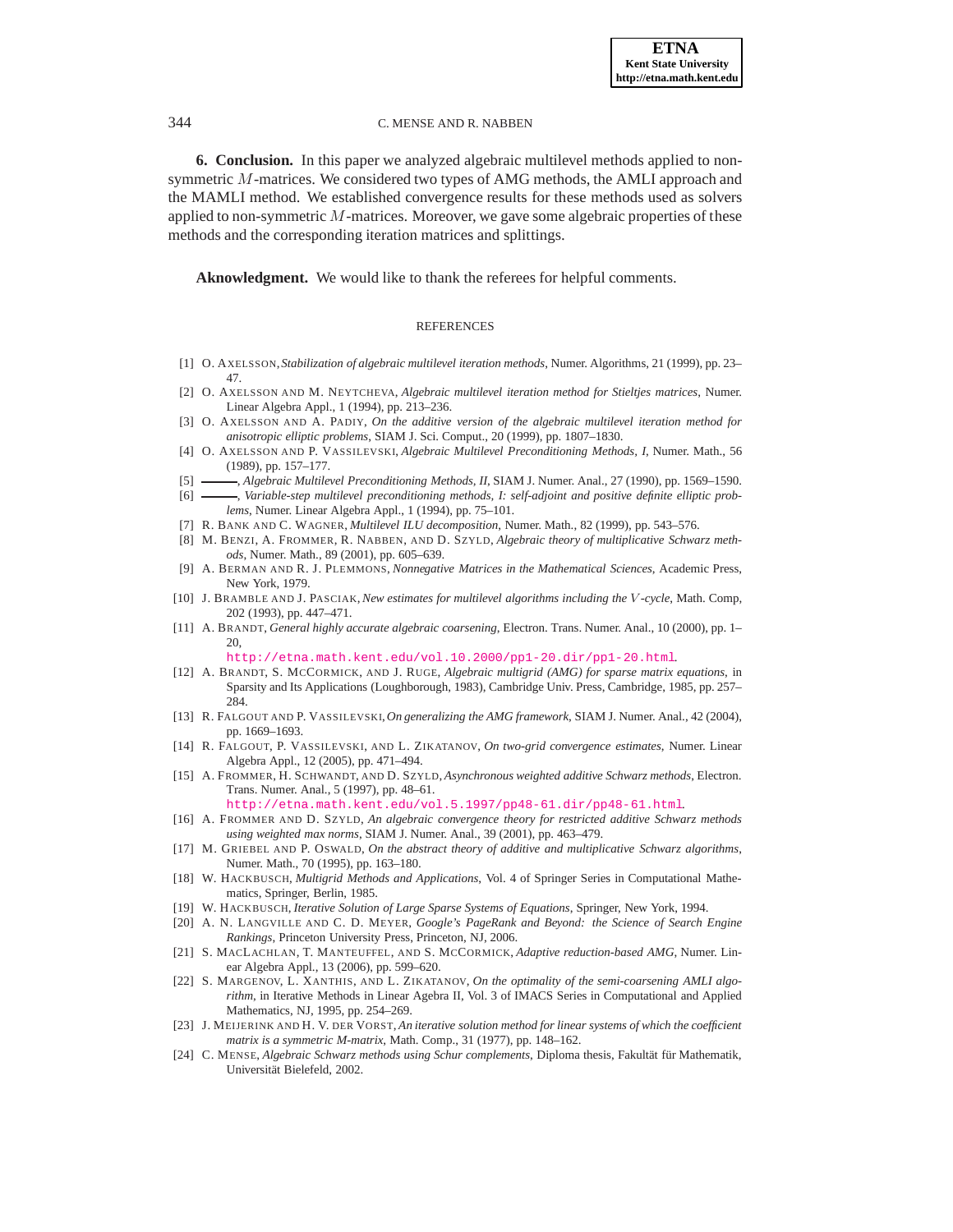**6. Conclusion.** In this paper we analyzed algebraic multilevel methods applied to nonsymmetric M-matrices. We considered two types of AMG methods, the AMLI approach and the MAMLI method. We established convergence results for these methods used as solvers applied to non-symmetric  $M$ -matrices. Moreover, we gave some algebraic properties of these methods and the corresponding iteration matrices and splittings.

**Aknowledgment.** We would like to thank the referees for helpful comments.

#### REFERENCES

- <span id="page-21-10"></span><span id="page-21-7"></span>[1] O. AXELSSON, *Stabilization of algebraic multilevel iteration methods*, Numer. Algorithms, 21 (1999), pp. 23– 47.
- [2] O. AXELSSON AND M. NEYTCHEVA, *Algebraic multilevel iteration method for Stieltjes matrices*, Numer. Linear Algebra Appl., 1 (1994), pp. 213–236.
- <span id="page-21-11"></span>[3] O. AXELSSON AND A. PADIY, *On the additive version of the algebraic multilevel iteration method for anisotropic elliptic problems*, SIAM J. Sci. Comput., 20 (1999), pp. 1807–1830.
- <span id="page-21-5"></span>[4] O. AXELSSON AND P. VASSILEVSKI, *Algebraic Multilevel Preconditioning Methods, I*, Numer. Math., 56 (1989), pp. 157–177.
- <span id="page-21-17"></span><span id="page-21-6"></span>[5] , *Algebraic Multilevel Preconditioning Methods, II*, SIAM J. Numer. Anal., 27 (1990), pp. 1569–1590.
- -, Variable-step multilevel preconditioning methods, I: self-adjoint and positive definite elliptic prob*lems*, Numer. Linear Algebra Appl., 1 (1994), pp. 75–101.
- <span id="page-21-21"></span><span id="page-21-8"></span>[7] R. BANK AND C. WAGNER, *Multilevel ILU decomposition*, Numer. Math., 82 (1999), pp. 543–576.
- [8] M. BENZI, A. FROMMER, R. NABBEN, AND D. SZYLD, *Algebraic theory of multiplicative Schwarz methods*, Numer. Math., 89 (2001), pp. 605–639.
- <span id="page-21-1"></span>[9] A. BERMAN AND R. J. PLEMMONS, *Nonnegative Matrices in the Mathematical Sciences*, Academic Press, New York, 1979.
- <span id="page-21-14"></span>[10] J. BRAMBLE AND J. PASCIAK, *New estimates for multilevel algorithms including the* V *-cycle*, Math. Comp, 202 (1993), pp. 447–471.
- <span id="page-21-4"></span>[11] A. BRANDT, *General highly accurate algebraic coarsening*, Electron. Trans. Numer. Anal., 10 (2000), pp. 1– 20,

<http://etna.math.kent.edu/vol.10.2000/pp1-20.dir/pp1-20.html>.

- <span id="page-21-0"></span>[12] A. BRANDT, S. MCCORMICK, AND J. RUGE, *Algebraic multigrid (AMG) for sparse matrix equations*, in Sparsity and Its Applications (Loughborough, 1983), Cambridge Univ. Press, Cambridge, 1985, pp. 257– 284.
- <span id="page-21-18"></span>[13] R. FALGOUT AND P. VASSILEVSKI,*On generalizing the AMG framework*, SIAM J. Numer. Anal., 42 (2004), pp. 1669–1693.
- <span id="page-21-19"></span>[14] R. FALGOUT, P. VASSILEVSKI, AND L. ZIKATANOV, *On two-grid convergence estimates*, Numer. Linear Algebra Appl., 12 (2005), pp. 471–494.
- <span id="page-21-22"></span>[15] A. FROMMER, H. SCHWANDT, AND D. SZYLD, *Asynchronous weighted additive Schwarz methods*, Electron. Trans. Numer. Anal., 5 (1997), pp. 48–61.

<http://etna.math.kent.edu/vol.5.1997/pp48-61.dir/pp48-61.html>.

- <span id="page-21-20"></span>[16] A. FROMMER AND D. SZYLD, *An algebraic convergence theory for restricted additive Schwarz methods using weighted max norms*, SIAM J. Numer. Anal., 39 (2001), pp. 463–479.
- <span id="page-21-12"></span>[17] M. GRIEBEL AND P. OSWALD, *On the abstract theory of additive and multiplicative Schwarz algorithms*, Numer. Math., 70 (1995), pp. 163–180.
- <span id="page-21-15"></span>[18] W. HACKBUSCH, *Multigrid Methods and Applications*, Vol. 4 of Springer Series in Computational Mathematics, Springer, Berlin, 1985.
- <span id="page-21-9"></span><span id="page-21-2"></span>[19] W. HACKBUSCH, *Iterative Solution of Large Sparse Systems of Equations*, Springer, New York, 1994.
- [20] A. N. LANGVILLE AND C. D. MEYER, *Google's PageRank and Beyond: the Science of Search Engine Rankings*, Princeton University Press, Princeton, NJ, 2006.
- <span id="page-21-16"></span>[21] S. MACLACHLAN, T. MANTEUFFEL, AND S. MCCORMICK, *Adaptive reduction-based AMG*, Numer. Linear Algebra Appl., 13 (2006), pp. 599–620.
- <span id="page-21-3"></span>[22] S. MARGENOV, L. XANTHIS, AND L. ZIKATANOV, *On the optimality of the semi-coarsening AMLI algorithm*, in Iterative Methods in Linear Agebra II, Vol. 3 of IMACS Series in Computational and Applied Mathematics, NJ, 1995, pp. 254–269.
- <span id="page-21-23"></span>[23] J. MEIJERINK AND H. V. DER VORST, *An iterative solution method for linear systems of which the coefficient matrix is a symmetric M-matrix*, Math. Comp., 31 (1977), pp. 148–162.
- <span id="page-21-13"></span>[24] C. MENSE, *Algebraic Schwarz methods using Schur complements*, Diploma thesis, Fakultät für Mathematik, Universität Bielefeld, 2002.